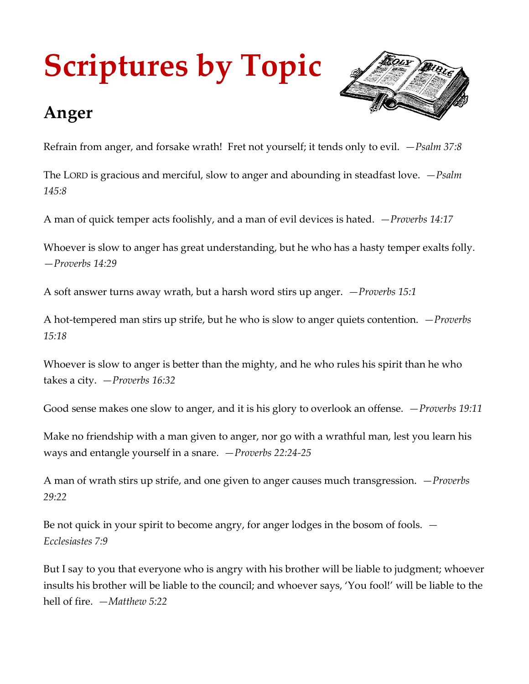# **Scriptures by Topic**

# **Anger**



Refrain from anger, and forsake wrath! Fret not yourself; it tends only to evil. *—Psalm 37:8*

The LORD is gracious and merciful, slow to anger and abounding in steadfast love. *—Psalm 145:8*

A man of quick temper acts foolishly, and a man of evil devices is hated. *—Proverbs 14:17*

Whoever is slow to anger has great understanding, but he who has a hasty temper exalts folly. *—Proverbs 14:29*

A soft answer turns away wrath, but a harsh word stirs up anger. *—Proverbs 15:1*

A hot-tempered man stirs up strife, but he who is slow to anger quiets contention. *—Proverbs 15:18*

Whoever is slow to anger is better than the mighty, and he who rules his spirit than he who takes a city. *—Proverbs 16:32*

Good sense makes one slow to anger, and it is his glory to overlook an offense. *—Proverbs 19:11*

Make no friendship with a man given to anger, nor go with a wrathful man, lest you learn his ways and entangle yourself in a snare. *—Proverbs 22:24-25*

A man of wrath stirs up strife, and one given to anger causes much transgression. *—Proverbs 29:22*

Be not quick in your spirit to become angry, for anger lodges in the bosom of fools. *— Ecclesiastes 7:9*

But I say to you that everyone who is angry with his brother will be liable to judgment; whoever insults his brother will be liable to the council; and whoever says, 'You fool!' will be liable to the hell of fire. *—Matthew 5:22*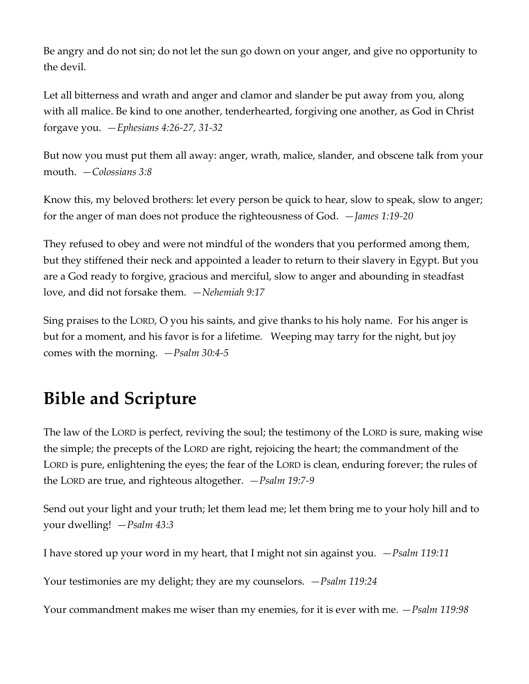Be angry and do not sin; do not let the sun go down on your anger, and give no opportunity to the devil.

Let all bitterness and wrath and anger and clamor and slander be put away from you, along with all malice. Be kind to one another, tenderhearted, forgiving one another, as God in Christ forgave you. *—Ephesians 4:26-27, 31-32*

But now you must put them all away: anger, wrath, malice, slander, and obscene talk from your mouth. *—Colossians 3:8*

Know this, my beloved brothers: let every person be quick to hear, slow to speak, slow to anger; for the anger of man does not produce the righteousness of God. *—James 1:19-20*

They refused to obey and were not mindful of the wonders that you performed among them, but they stiffened their neck and appointed a leader to return to their slavery in Egypt. But you are a God ready to forgive, gracious and merciful, slow to anger and abounding in steadfast love, and did not forsake them. *—Nehemiah 9:17*

Sing praises to the LORD, O you his saints, and give thanks to his holy name. For his anger is but for a moment, and his favor is for a lifetime. Weeping may tarry for the night, but joy comes with the morning. *—Psalm 30:4-5*

# **Bible and Scripture**

The law of the LORD is perfect, reviving the soul; the testimony of the LORD is sure, making wise the simple; the precepts of the LORD are right, rejoicing the heart; the commandment of the LORD is pure, enlightening the eyes; the fear of the LORD is clean, enduring forever; the rules of the LORD are true, and righteous altogether. *—Psalm 19:7-9*

Send out your light and your truth; let them lead me; let them bring me to your holy hill and to your dwelling! *—Psalm 43:3*

I have stored up your word in my heart, that I might not sin against you. *—Psalm 119:11*

Your testimonies are my delight; they are my counselors. *—Psalm 119:24*

Your commandment makes me wiser than my enemies, for it is ever with me. *—Psalm 119:98*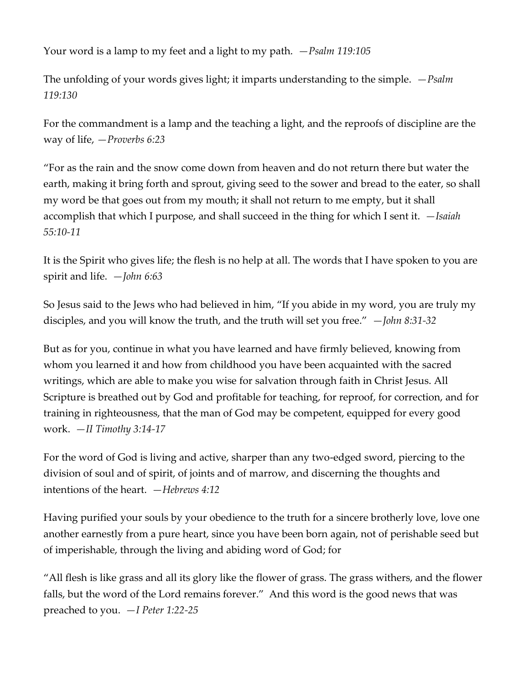Your word is a lamp to my feet and a light to my path. *—Psalm 119:105*

The unfolding of your words gives light; it imparts understanding to the simple. *—Psalm 119:130*

For the commandment is a lamp and the teaching a light, and the reproofs of discipline are the way of life, *—Proverbs 6:23*

"For as the rain and the snow come down from heaven and do not return there but water the earth, making it bring forth and sprout, giving seed to the sower and bread to the eater, so shall my word be that goes out from my mouth; it shall not return to me empty, but it shall accomplish that which I purpose, and shall succeed in the thing for which I sent it. *—Isaiah 55:10-11*

It is the Spirit who gives life; the flesh is no help at all. The words that I have spoken to you are spirit and life. *—John 6:63*

So Jesus said to the Jews who had believed in him, "If you abide in my word, you are truly my disciples, and you will know the truth, and the truth will set you free." *—John 8:31-32*

But as for you, continue in what you have learned and have firmly believed, knowing from whom you learned it and how from childhood you have been acquainted with the sacred writings, which are able to make you wise for salvation through faith in Christ Jesus. All Scripture is breathed out by God and profitable for teaching, for reproof, for correction, and for training in righteousness, that the man of God may be competent, equipped for every good work. *—II Timothy 3:14-17*

For the word of God is living and active, sharper than any two-edged sword, piercing to the division of soul and of spirit, of joints and of marrow, and discerning the thoughts and intentions of the heart. *—Hebrews 4:12*

Having purified your souls by your obedience to the truth for a sincere brotherly love, love one another earnestly from a pure heart, since you have been born again, not of perishable seed but of imperishable, through the living and abiding word of God; for

"All flesh is like grass and all its glory like the flower of grass. The grass withers, and the flower falls, but the word of the Lord remains forever." And this word is the good news that was preached to you. *—I Peter 1:22-25*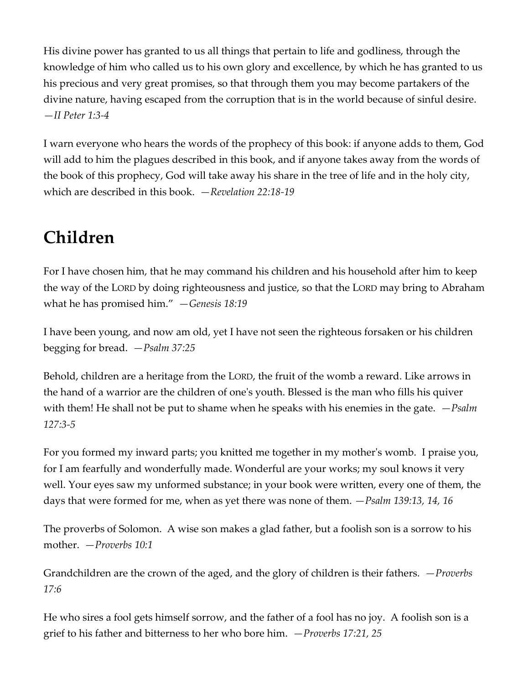His divine power has granted to us all things that pertain to life and godliness, through the knowledge of him who called us to his own glory and excellence, by which he has granted to us his precious and very great promises, so that through them you may become partakers of the divine nature, having escaped from the corruption that is in the world because of sinful desire. *—II Peter 1:3-4*

I warn everyone who hears the words of the prophecy of this book: if anyone adds to them, God will add to him the plagues described in this book, and if anyone takes away from the words of the book of this prophecy, God will take away his share in the tree of life and in the holy city, which are described in this book. *—Revelation 22:18-19*

# **Children**

For I have chosen him, that he may command his children and his household after him to keep the way of the LORD by doing righteousness and justice, so that the LORD may bring to Abraham what he has promised him." *—Genesis 18:19*

I have been young, and now am old, yet I have not seen the righteous forsaken or his children begging for bread. *—Psalm 37:25*

Behold, children are a heritage from the LORD, the fruit of the womb a reward. Like arrows in the hand of a warrior are the children of one's youth. Blessed is the man who fills his quiver with them! He shall not be put to shame when he speaks with his enemies in the gate. *—Psalm 127:3-5*

For you formed my inward parts; you knitted me together in my mother's womb. I praise you, for I am fearfully and wonderfully made. Wonderful are your works; my soul knows it very well. Your eyes saw my unformed substance; in your book were written, every one of them, the days that were formed for me, when as yet there was none of them. *—Psalm 139:13, 14, 16* 

The proverbs of Solomon. A wise son makes a glad father, but a foolish son is a sorrow to his mother. *—Proverbs 10:1*

Grandchildren are the crown of the aged, and the glory of children is their fathers. *—Proverbs 17:6*

He who sires a fool gets himself sorrow, and the father of a fool has no joy. A foolish son is a grief to his father and bitterness to her who bore him. *—Proverbs 17:21, 25*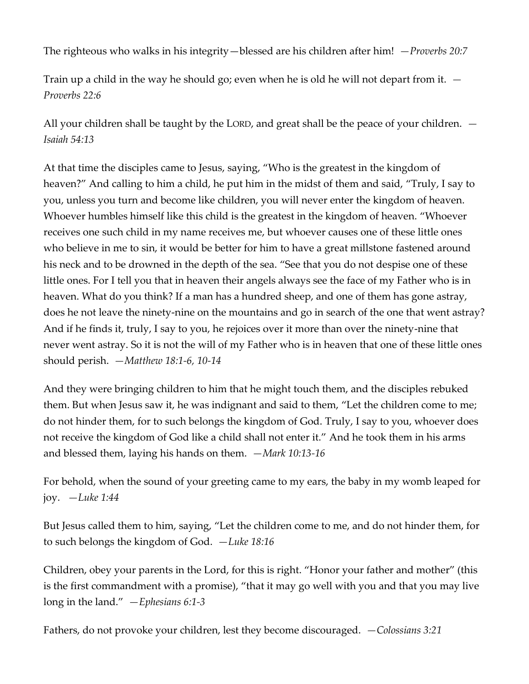The righteous who walks in his integrity—blessed are his children after him! *—Proverbs 20:7*

Train up a child in the way he should go; even when he is old he will not depart from it. *— Proverbs 22:6*

All your children shall be taught by the LORD, and great shall be the peace of your children. *— Isaiah 54:13*

At that time the disciples came to Jesus, saying, "Who is the greatest in the kingdom of heaven?" And calling to him a child, he put him in the midst of them and said, "Truly, I say to you, unless you turn and become like children, you will never enter the kingdom of heaven. Whoever humbles himself like this child is the greatest in the kingdom of heaven. "Whoever receives one such child in my name receives me, but whoever causes one of these little ones who believe in me to sin, it would be better for him to have a great millstone fastened around his neck and to be drowned in the depth of the sea. "See that you do not despise one of these little ones. For I tell you that in heaven their angels always see the face of my Father who is in heaven. What do you think? If a man has a hundred sheep, and one of them has gone astray, does he not leave the ninety-nine on the mountains and go in search of the one that went astray? And if he finds it, truly, I say to you, he rejoices over it more than over the ninety-nine that never went astray. So it is not the will of my Father who is in heaven that one of these little ones should perish. *—Matthew 18:1-6, 10-14*

And they were bringing children to him that he might touch them, and the disciples rebuked them. But when Jesus saw it, he was indignant and said to them, "Let the children come to me; do not hinder them, for to such belongs the kingdom of God. Truly, I say to you, whoever does not receive the kingdom of God like a child shall not enter it." And he took them in his arms and blessed them, laying his hands on them. *—Mark 10:13-16*

For behold, when the sound of your greeting came to my ears, the baby in my womb leaped for joy. *—Luke 1:44*

But Jesus called them to him, saying, "Let the children come to me, and do not hinder them, for to such belongs the kingdom of God. *—Luke 18:16*

Children, obey your parents in the Lord, for this is right. "Honor your father and mother" (this is the first commandment with a promise), "that it may go well with you and that you may live long in the land." *—Ephesians 6:1-3*

Fathers, do not provoke your children, lest they become discouraged. *—Colossians 3:21*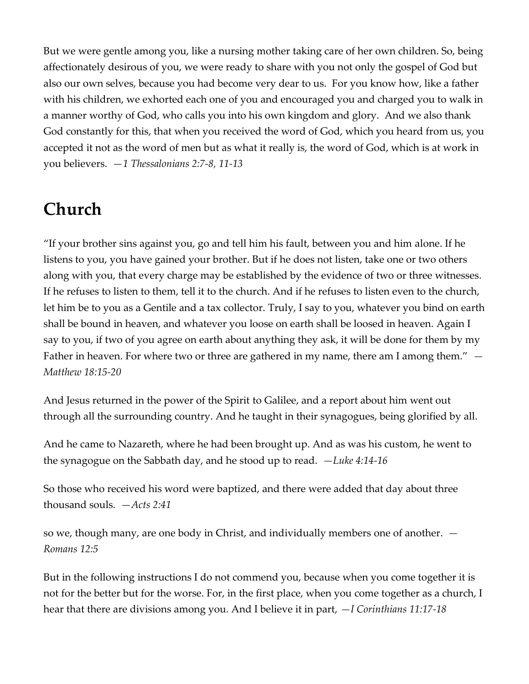But we were gentle among you, like a nursing mother taking care of her own children. So, being affectionately desirous of you, we were ready to share with you not only the gospel of God but also our own selves, because you had become very dear to us. For you know how, like a father with his children, we exhorted each one of you and encouraged you and charged you to walk in a manner worthy of God, who calls you into his own kingdom and glory. And we also thank God constantly for this, that when you received the word of God, which you heard from us, you accepted it not as the word of men but as what it really is, the word of God, which is at work in you believers. *—1 Thessalonians 2:7-8, 11-13* 

#### **Church**

"If your brother sins against you, go and tell him his fault, between you and him alone. If he listens to you, you have gained your brother. But if he does not listen, take one or two others along with you, that every charge may be established by the evidence of two or three witnesses. If he refuses to listen to them, tell it to the church. And if he refuses to listen even to the church, let him be to you as a Gentile and a tax collector. Truly, I say to you, whatever you bind on earth shall be bound in heaven, and whatever you loose on earth shall be loosed in heaven. Again I say to you, if two of you agree on earth about anything they ask, it will be done for them by my Father in heaven. For where two or three are gathered in my name, there am I among them." *— Matthew 18:15-20*

And Jesus returned in the power of the Spirit to Galilee, and a report about him went out through all the surrounding country. And he taught in their synagogues, being glorified by all.

And he came to Nazareth, where he had been brought up. And as was his custom, he went to the synagogue on the Sabbath day, and he stood up to read. *—Luke 4:14-16*

So those who received his word were baptized, and there were added that day about three thousand souls. *—Acts 2:41*

so we, though many, are one body in Christ, and individually members one of another. *— Romans 12:5*

But in the following instructions I do not commend you, because when you come together it is not for the better but for the worse. For, in the first place, when you come together as a church, I hear that there are divisions among you. And I believe it in part, *—I Corinthians 11:17-18*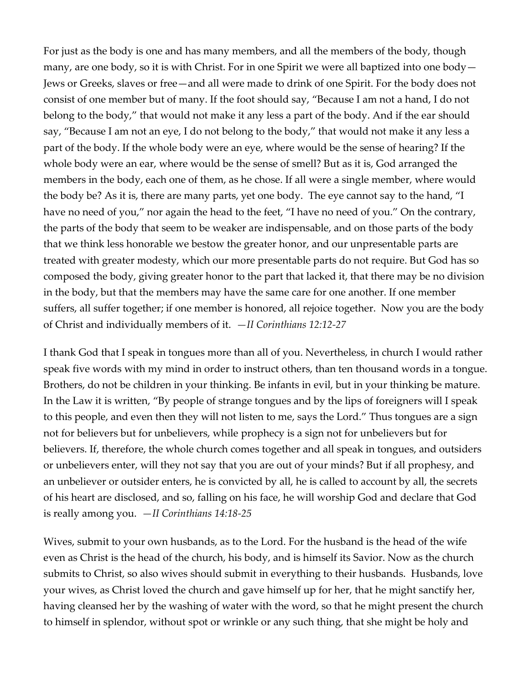For just as the body is one and has many members, and all the members of the body, though many, are one body, so it is with Christ. For in one Spirit we were all baptized into one body— Jews or Greeks, slaves or free—and all were made to drink of one Spirit. For the body does not consist of one member but of many. If the foot should say, "Because I am not a hand, I do not belong to the body," that would not make it any less a part of the body. And if the ear should say, "Because I am not an eye, I do not belong to the body," that would not make it any less a part of the body. If the whole body were an eye, where would be the sense of hearing? If the whole body were an ear, where would be the sense of smell? But as it is, God arranged the members in the body, each one of them, as he chose. If all were a single member, where would the body be? As it is, there are many parts, yet one body. The eye cannot say to the hand, "I have no need of you," nor again the head to the feet, "I have no need of you." On the contrary, the parts of the body that seem to be weaker are indispensable, and on those parts of the body that we think less honorable we bestow the greater honor, and our unpresentable parts are treated with greater modesty, which our more presentable parts do not require. But God has so composed the body, giving greater honor to the part that lacked it, that there may be no division in the body, but that the members may have the same care for one another. If one member suffers, all suffer together; if one member is honored, all rejoice together. Now you are the body of Christ and individually members of it. *—II Corinthians 12:12-27*

I thank God that I speak in tongues more than all of you. Nevertheless, in church I would rather speak five words with my mind in order to instruct others, than ten thousand words in a tongue. Brothers, do not be children in your thinking. Be infants in evil, but in your thinking be mature. In the Law it is written, "By people of strange tongues and by the lips of foreigners will I speak to this people, and even then they will not listen to me, says the Lord." Thus tongues are a sign not for believers but for unbelievers, while prophecy is a sign not for unbelievers but for believers. If, therefore, the whole church comes together and all speak in tongues, and outsiders or unbelievers enter, will they not say that you are out of your minds? But if all prophesy, and an unbeliever or outsider enters, he is convicted by all, he is called to account by all, the secrets of his heart are disclosed, and so, falling on his face, he will worship God and declare that God is really among you. *—II Corinthians 14:18-25*

Wives, submit to your own husbands, as to the Lord. For the husband is the head of the wife even as Christ is the head of the church, his body, and is himself its Savior. Now as the church submits to Christ, so also wives should submit in everything to their husbands. Husbands, love your wives, as Christ loved the church and gave himself up for her, that he might sanctify her, having cleansed her by the washing of water with the word, so that he might present the church to himself in splendor, without spot or wrinkle or any such thing, that she might be holy and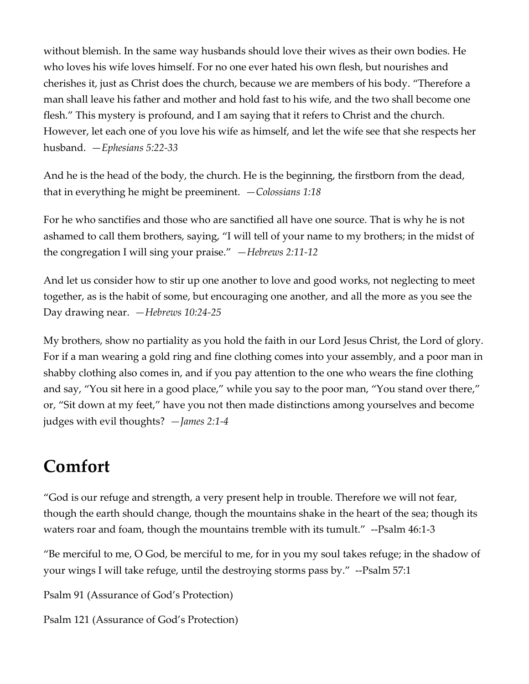without blemish. In the same way husbands should love their wives as their own bodies. He who loves his wife loves himself. For no one ever hated his own flesh, but nourishes and cherishes it, just as Christ does the church, because we are members of his body. "Therefore a man shall leave his father and mother and hold fast to his wife, and the two shall become one flesh." This mystery is profound, and I am saying that it refers to Christ and the church. However, let each one of you love his wife as himself, and let the wife see that she respects her husband. *—Ephesians 5:22-33*

And he is the head of the body, the church. He is the beginning, the firstborn from the dead, that in everything he might be preeminent. *—Colossians 1:18*

For he who sanctifies and those who are sanctified all have one source. That is why he is not ashamed to call them brothers, saying, "I will tell of your name to my brothers; in the midst of the congregation I will sing your praise." *—Hebrews 2:11-12*

And let us consider how to stir up one another to love and good works, not neglecting to meet together, as is the habit of some, but encouraging one another, and all the more as you see the Day drawing near. *—Hebrews 10:24-25*

My brothers, show no partiality as you hold the faith in our Lord Jesus Christ, the Lord of glory. For if a man wearing a gold ring and fine clothing comes into your assembly, and a poor man in shabby clothing also comes in, and if you pay attention to the one who wears the fine clothing and say, "You sit here in a good place," while you say to the poor man, "You stand over there," or, "Sit down at my feet," have you not then made distinctions among yourselves and become judges with evil thoughts? *—James 2:1-4*

# **Comfort**

"God is our refuge and strength, a very present help in trouble. Therefore we will not fear, though the earth should change, though the mountains shake in the heart of the sea; though its waters roar and foam, though the mountains tremble with its tumult." --Psalm 46:1-3

"Be merciful to me, O God, be merciful to me, for in you my soul takes refuge; in the shadow of your wings I will take refuge, until the destroying storms pass by." --Psalm 57:1

```
Psalm 91 (Assurance of God's Protection)
```

```
Psalm 121 (Assurance of God's Protection)
```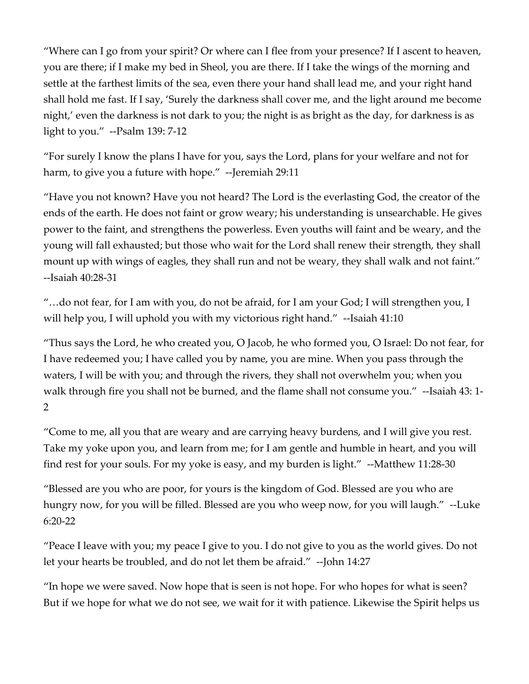"Where can I go from your spirit? Or where can I flee from your presence? If I ascent to heaven, you are there; if I make my bed in Sheol, you are there. If I take the wings of the morning and settle at the farthest limits of the sea, even there your hand shall lead me, and your right hand shall hold me fast. If I say, 'Surely the darkness shall cover me, and the light around me become night,' even the darkness is not dark to you; the night is as bright as the day, for darkness is as light to you." --Psalm 139: 7-12

"For surely I know the plans I have for you, says the Lord, plans for your welfare and not for harm, to give you a future with hope." --Jeremiah 29:11

"Have you not known? Have you not heard? The Lord is the everlasting God, the creator of the ends of the earth. He does not faint or grow weary; his understanding is unsearchable. He gives power to the faint, and strengthens the powerless. Even youths will faint and be weary, and the young will fall exhausted; but those who wait for the Lord shall renew their strength, they shall mount up with wings of eagles, they shall run and not be weary, they shall walk and not faint." --Isaiah 40:28-31

"…do not fear, for I am with you, do not be afraid, for I am your God; I will strengthen you, I will help you, I will uphold you with my victorious right hand." --Isaiah 41:10

"Thus says the Lord, he who created you, O Jacob, he who formed you, O Israel: Do not fear, for I have redeemed you; I have called you by name, you are mine. When you pass through the waters, I will be with you; and through the rivers, they shall not overwhelm you; when you walk through fire you shall not be burned, and the flame shall not consume you." --Isaiah 43: 1- 2

"Come to me, all you that are weary and are carrying heavy burdens, and I will give you rest. Take my yoke upon you, and learn from me; for I am gentle and humble in heart, and you will find rest for your souls. For my yoke is easy, and my burden is light." --Matthew 11:28-30

"Blessed are you who are poor, for yours is the kingdom of God. Blessed are you who are hungry now, for you will be filled. Blessed are you who weep now, for you will laugh." --Luke 6:20-22

"Peace I leave with you; my peace I give to you. I do not give to you as the world gives. Do not let your hearts be troubled, and do not let them be afraid." --John 14:27

"In hope we were saved. Now hope that is seen is not hope. For who hopes for what is seen? But if we hope for what we do not see, we wait for it with patience. Likewise the Spirit helps us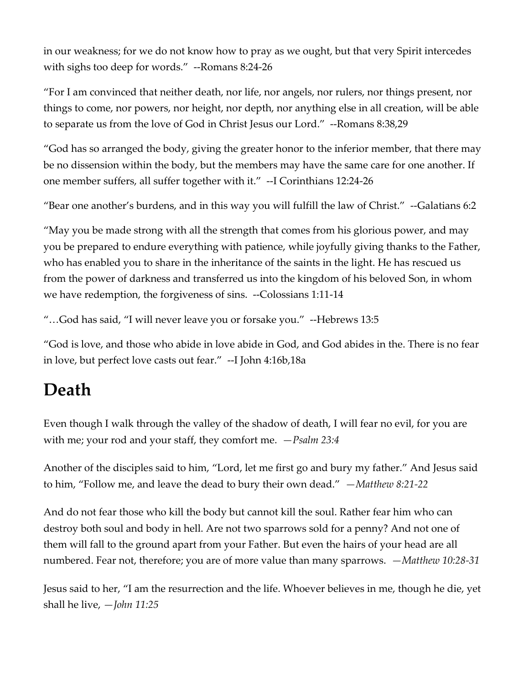in our weakness; for we do not know how to pray as we ought, but that very Spirit intercedes with sighs too deep for words." --Romans 8:24-26

"For I am convinced that neither death, nor life, nor angels, nor rulers, nor things present, nor things to come, nor powers, nor height, nor depth, nor anything else in all creation, will be able to separate us from the love of God in Christ Jesus our Lord." --Romans 8:38,29

"God has so arranged the body, giving the greater honor to the inferior member, that there may be no dissension within the body, but the members may have the same care for one another. If one member suffers, all suffer together with it." --I Corinthians 12:24-26

"Bear one another's burdens, and in this way you will fulfill the law of Christ." --Galatians 6:2

"May you be made strong with all the strength that comes from his glorious power, and may you be prepared to endure everything with patience, while joyfully giving thanks to the Father, who has enabled you to share in the inheritance of the saints in the light. He has rescued us from the power of darkness and transferred us into the kingdom of his beloved Son, in whom we have redemption, the forgiveness of sins. --Colossians 1:11-14

"…God has said, "I will never leave you or forsake you." --Hebrews 13:5

"God is love, and those who abide in love abide in God, and God abides in the. There is no fear in love, but perfect love casts out fear." --I John 4:16b,18a

## **Death**

Even though I walk through the valley of the shadow of death, I will fear no evil, for you are with me; your rod and your staff, they comfort me. *—Psalm 23:4*

Another of the disciples said to him, "Lord, let me first go and bury my father." And Jesus said to him, "Follow me, and leave the dead to bury their own dead." *—Matthew 8:21-22*

And do not fear those who kill the body but cannot kill the soul. Rather fear him who can destroy both soul and body in hell. Are not two sparrows sold for a penny? And not one of them will fall to the ground apart from your Father. But even the hairs of your head are all numbered. Fear not, therefore; you are of more value than many sparrows. *—Matthew 10:28-31*

Jesus said to her, "I am the resurrection and the life. Whoever believes in me, though he die, yet shall he live, *—John 11:25*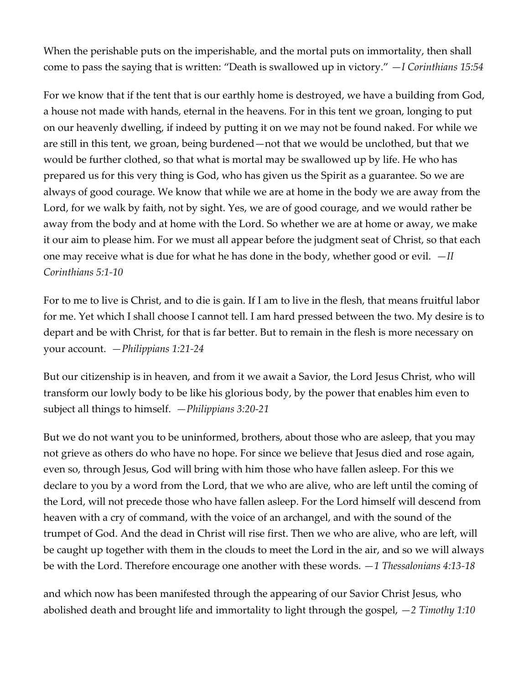When the perishable puts on the imperishable, and the mortal puts on immortality, then shall come to pass the saying that is written: "Death is swallowed up in victory." *—I Corinthians 15:54*

For we know that if the tent that is our earthly home is destroyed, we have a building from God, a house not made with hands, eternal in the heavens. For in this tent we groan, longing to put on our heavenly dwelling, if indeed by putting it on we may not be found naked. For while we are still in this tent, we groan, being burdened—not that we would be unclothed, but that we would be further clothed, so that what is mortal may be swallowed up by life. He who has prepared us for this very thing is God, who has given us the Spirit as a guarantee. So we are always of good courage. We know that while we are at home in the body we are away from the Lord, for we walk by faith, not by sight. Yes, we are of good courage, and we would rather be away from the body and at home with the Lord. So whether we are at home or away, we make it our aim to please him. For we must all appear before the judgment seat of Christ, so that each one may receive what is due for what he has done in the body, whether good or evil. *—II Corinthians 5:1-10*

For to me to live is Christ, and to die is gain. If I am to live in the flesh, that means fruitful labor for me. Yet which I shall choose I cannot tell. I am hard pressed between the two. My desire is to depart and be with Christ, for that is far better. But to remain in the flesh is more necessary on your account. *—Philippians 1:21-24*

But our citizenship is in heaven, and from it we await a Savior, the Lord Jesus Christ, who will transform our lowly body to be like his glorious body, by the power that enables him even to subject all things to himself. *—Philippians 3:20-21*

But we do not want you to be uninformed, brothers, about those who are asleep, that you may not grieve as others do who have no hope. For since we believe that Jesus died and rose again, even so, through Jesus, God will bring with him those who have fallen asleep. For this we declare to you by a word from the Lord, that we who are alive, who are left until the coming of the Lord, will not precede those who have fallen asleep. For the Lord himself will descend from heaven with a cry of command, with the voice of an archangel, and with the sound of the trumpet of God. And the dead in Christ will rise first. Then we who are alive, who are left, will be caught up together with them in the clouds to meet the Lord in the air, and so we will always be with the Lord. Therefore encourage one another with these words. *—1 Thessalonians 4:13-18*

and which now has been manifested through the appearing of our Savior Christ Jesus, who abolished death and brought life and immortality to light through the gospel, *—2 Timothy 1:10*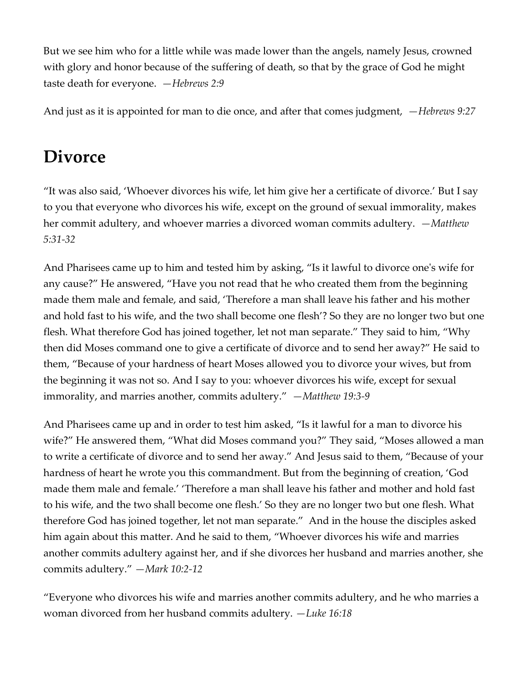But we see him who for a little while was made lower than the angels, namely Jesus, crowned with glory and honor because of the suffering of death, so that by the grace of God he might taste death for everyone. *—Hebrews 2:9*

And just as it is appointed for man to die once, and after that comes judgment, *—Hebrews 9:27*

# **Divorce**

"It was also said, 'Whoever divorces his wife, let him give her a certificate of divorce.' But I say to you that everyone who divorces his wife, except on the ground of sexual immorality, makes her commit adultery, and whoever marries a divorced woman commits adultery. *—Matthew 5:31-32*

And Pharisees came up to him and tested him by asking, "Is it lawful to divorce one's wife for any cause?" He answered, "Have you not read that he who created them from the beginning made them male and female, and said, 'Therefore a man shall leave his father and his mother and hold fast to his wife, and the two shall become one flesh'? So they are no longer two but one flesh. What therefore God has joined together, let not man separate." They said to him, "Why then did Moses command one to give a certificate of divorce and to send her away?" He said to them, "Because of your hardness of heart Moses allowed you to divorce your wives, but from the beginning it was not so. And I say to you: whoever divorces his wife, except for sexual immorality, and marries another, commits adultery." *—Matthew 19:3-9*

And Pharisees came up and in order to test him asked, "Is it lawful for a man to divorce his wife?" He answered them, "What did Moses command you?" They said, "Moses allowed a man to write a certificate of divorce and to send her away." And Jesus said to them, "Because of your hardness of heart he wrote you this commandment. But from the beginning of creation, 'God made them male and female.' 'Therefore a man shall leave his father and mother and hold fast to his wife, and the two shall become one flesh.' So they are no longer two but one flesh. What therefore God has joined together, let not man separate." And in the house the disciples asked him again about this matter. And he said to them, "Whoever divorces his wife and marries another commits adultery against her, and if she divorces her husband and marries another, she commits adultery." *—Mark 10:2-12*

"Everyone who divorces his wife and marries another commits adultery, and he who marries a woman divorced from her husband commits adultery. *—Luke 16:18*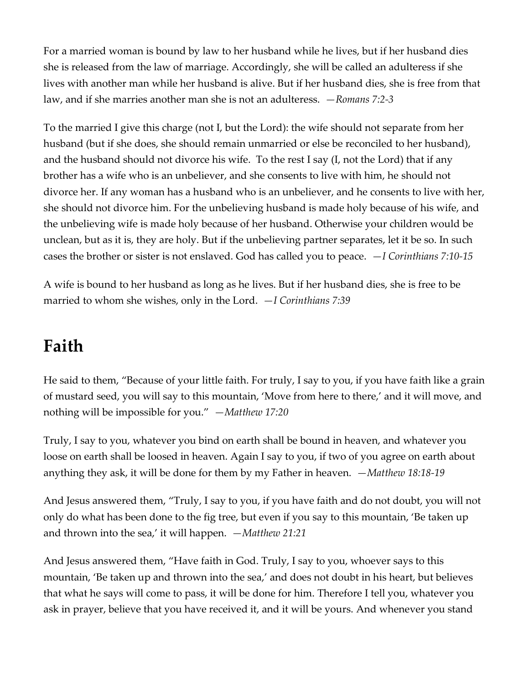For a married woman is bound by law to her husband while he lives, but if her husband dies she is released from the law of marriage. Accordingly, she will be called an adulteress if she lives with another man while her husband is alive. But if her husband dies, she is free from that law, and if she marries another man she is not an adulteress. *—Romans 7:2-3*

To the married I give this charge (not I, but the Lord): the wife should not separate from her husband (but if she does, she should remain unmarried or else be reconciled to her husband), and the husband should not divorce his wife. To the rest I say (I, not the Lord) that if any brother has a wife who is an unbeliever, and she consents to live with him, he should not divorce her. If any woman has a husband who is an unbeliever, and he consents to live with her, she should not divorce him. For the unbelieving husband is made holy because of his wife, and the unbelieving wife is made holy because of her husband. Otherwise your children would be unclean, but as it is, they are holy. But if the unbelieving partner separates, let it be so. In such cases the brother or sister is not enslaved. God has called you to peace. *—I Corinthians 7:10-15*

A wife is bound to her husband as long as he lives. But if her husband dies, she is free to be married to whom she wishes, only in the Lord. *—I Corinthians 7:39*

#### **Faith**

He said to them, "Because of your little faith. For truly, I say to you, if you have faith like a grain of mustard seed, you will say to this mountain, 'Move from here to there,' and it will move, and nothing will be impossible for you." *—Matthew 17:20*

Truly, I say to you, whatever you bind on earth shall be bound in heaven, and whatever you loose on earth shall be loosed in heaven. Again I say to you, if two of you agree on earth about anything they ask, it will be done for them by my Father in heaven. *—Matthew 18:18-19*

And Jesus answered them, "Truly, I say to you, if you have faith and do not doubt, you will not only do what has been done to the fig tree, but even if you say to this mountain, 'Be taken up and thrown into the sea,' it will happen. *—Matthew 21:21*

And Jesus answered them, "Have faith in God. Truly, I say to you, whoever says to this mountain, 'Be taken up and thrown into the sea,' and does not doubt in his heart, but believes that what he says will come to pass, it will be done for him. Therefore I tell you, whatever you ask in prayer, believe that you have received it, and it will be yours. And whenever you stand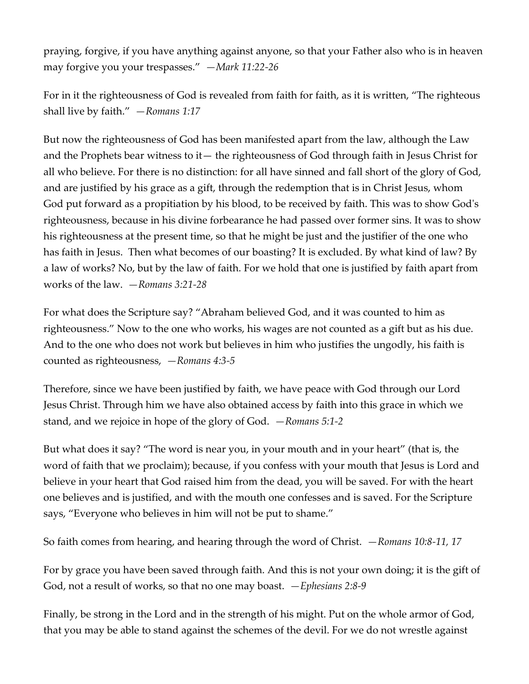praying, forgive, if you have anything against anyone, so that your Father also who is in heaven may forgive you your trespasses." *—Mark 11:22-26*

For in it the righteousness of God is revealed from faith for faith, as it is written, "The righteous shall live by faith." *—Romans 1:17*

But now the righteousness of God has been manifested apart from the law, although the Law and the Prophets bear witness to it— the righteousness of God through faith in Jesus Christ for all who believe. For there is no distinction: for all have sinned and fall short of the glory of God, and are justified by his grace as a gift, through the redemption that is in Christ Jesus, whom God put forward as a propitiation by his blood, to be received by faith. This was to show God's righteousness, because in his divine forbearance he had passed over former sins. It was to show his righteousness at the present time, so that he might be just and the justifier of the one who has faith in Jesus. Then what becomes of our boasting? It is excluded. By what kind of law? By a law of works? No, but by the law of faith. For we hold that one is justified by faith apart from works of the law. *—Romans 3:21-28*

For what does the Scripture say? "Abraham believed God, and it was counted to him as righteousness." Now to the one who works, his wages are not counted as a gift but as his due. And to the one who does not work but believes in him who justifies the ungodly, his faith is counted as righteousness, *—Romans 4:3-5*

Therefore, since we have been justified by faith, we have peace with God through our Lord Jesus Christ. Through him we have also obtained access by faith into this grace in which we stand, and we rejoice in hope of the glory of God. *—Romans 5:1-2*

But what does it say? "The word is near you, in your mouth and in your heart" (that is, the word of faith that we proclaim); because, if you confess with your mouth that Jesus is Lord and believe in your heart that God raised him from the dead, you will be saved. For with the heart one believes and is justified, and with the mouth one confesses and is saved. For the Scripture says, "Everyone who believes in him will not be put to shame."

So faith comes from hearing, and hearing through the word of Christ. *—Romans 10:8-11, 17*

For by grace you have been saved through faith. And this is not your own doing; it is the gift of God, not a result of works, so that no one may boast. *—Ephesians 2:8-9*

Finally, be strong in the Lord and in the strength of his might. Put on the whole armor of God, that you may be able to stand against the schemes of the devil. For we do not wrestle against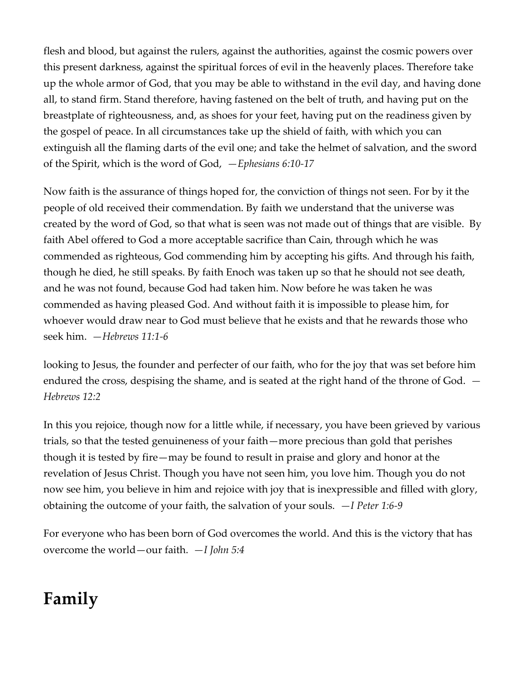flesh and blood, but against the rulers, against the authorities, against the cosmic powers over this present darkness, against the spiritual forces of evil in the heavenly places. Therefore take up the whole armor of God, that you may be able to withstand in the evil day, and having done all, to stand firm. Stand therefore, having fastened on the belt of truth, and having put on the breastplate of righteousness, and, as shoes for your feet, having put on the readiness given by the gospel of peace. In all circumstances take up the shield of faith, with which you can extinguish all the flaming darts of the evil one; and take the helmet of salvation, and the sword of the Spirit, which is the word of God, *—Ephesians 6:10-17*

Now faith is the assurance of things hoped for, the conviction of things not seen. For by it the people of old received their commendation. By faith we understand that the universe was created by the word of God, so that what is seen was not made out of things that are visible. By faith Abel offered to God a more acceptable sacrifice than Cain, through which he was commended as righteous, God commending him by accepting his gifts. And through his faith, though he died, he still speaks. By faith Enoch was taken up so that he should not see death, and he was not found, because God had taken him. Now before he was taken he was commended as having pleased God. And without faith it is impossible to please him, for whoever would draw near to God must believe that he exists and that he rewards those who seek him. *—Hebrews 11:1-6*

looking to Jesus, the founder and perfecter of our faith, who for the joy that was set before him endured the cross, despising the shame, and is seated at the right hand of the throne of God. *— Hebrews 12:2*

In this you rejoice, though now for a little while, if necessary, you have been grieved by various trials, so that the tested genuineness of your faith—more precious than gold that perishes though it is tested by fire—may be found to result in praise and glory and honor at the revelation of Jesus Christ. Though you have not seen him, you love him. Though you do not now see him, you believe in him and rejoice with joy that is inexpressible and filled with glory, obtaining the outcome of your faith, the salvation of your souls. *—I Peter 1:6-9*

For everyone who has been born of God overcomes the world. And this is the victory that has overcome the world—our faith. *—I John 5:4*

# **Family**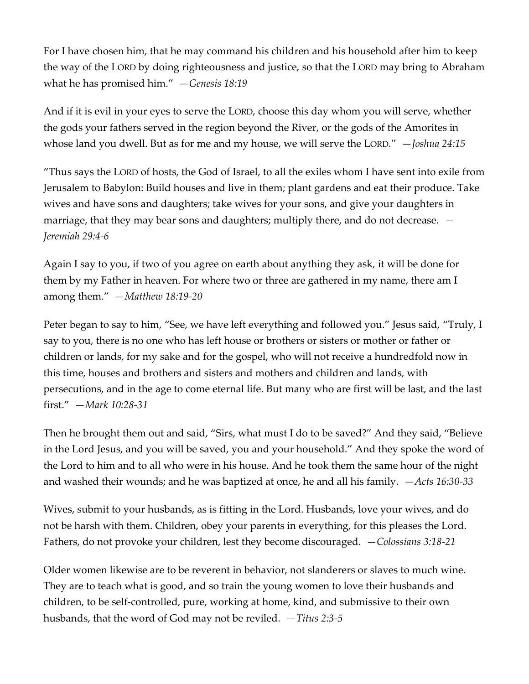For I have chosen him, that he may command his children and his household after him to keep the way of the LORD by doing righteousness and justice, so that the LORD may bring to Abraham what he has promised him." *—Genesis 18:19*

And if it is evil in your eyes to serve the LORD, choose this day whom you will serve, whether the gods your fathers served in the region beyond the River, or the gods of the Amorites in whose land you dwell. But as for me and my house, we will serve the LORD." *—Joshua 24:15*

"Thus says the LORD of hosts, the God of Israel, to all the exiles whom I have sent into exile from Jerusalem to Babylon: Build houses and live in them; plant gardens and eat their produce. Take wives and have sons and daughters; take wives for your sons, and give your daughters in marriage, that they may bear sons and daughters; multiply there, and do not decrease. *— Jeremiah 29:4-6*

Again I say to you, if two of you agree on earth about anything they ask, it will be done for them by my Father in heaven. For where two or three are gathered in my name, there am I among them." *—Matthew 18:19-20*

Peter began to say to him, "See, we have left everything and followed you." Jesus said, "Truly, I say to you, there is no one who has left house or brothers or sisters or mother or father or children or lands, for my sake and for the gospel, who will not receive a hundredfold now in this time, houses and brothers and sisters and mothers and children and lands, with persecutions, and in the age to come eternal life. But many who are first will be last, and the last first." *—Mark 10:28-31*

Then he brought them out and said, "Sirs, what must I do to be saved?" And they said, "Believe in the Lord Jesus, and you will be saved, you and your household." And they spoke the word of the Lord to him and to all who were in his house. And he took them the same hour of the night and washed their wounds; and he was baptized at once, he and all his family. *—Acts 16:30-33*

Wives, submit to your husbands, as is fitting in the Lord. Husbands, love your wives, and do not be harsh with them. Children, obey your parents in everything, for this pleases the Lord. Fathers, do not provoke your children, lest they become discouraged. *—Colossians 3:18-21*

Older women likewise are to be reverent in behavior, not slanderers or slaves to much wine. They are to teach what is good, and so train the young women to love their husbands and children, to be self-controlled, pure, working at home, kind, and submissive to their own husbands, that the word of God may not be reviled. *—Titus 2:3-5*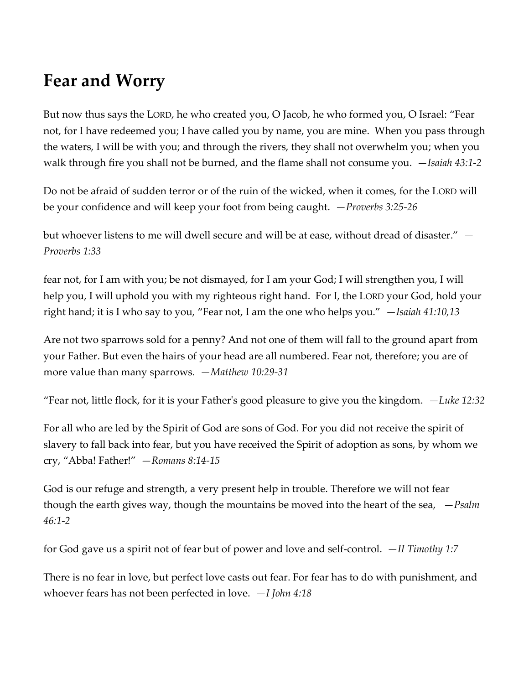## **Fear and Worry**

But now thus says the LORD, he who created you, O Jacob, he who formed you, O Israel: "Fear not, for I have redeemed you; I have called you by name, you are mine. When you pass through the waters, I will be with you; and through the rivers, they shall not overwhelm you; when you walk through fire you shall not be burned, and the flame shall not consume you. *—Isaiah 43:1-2*

Do not be afraid of sudden terror or of the ruin of the wicked, when it comes, for the LORD will be your confidence and will keep your foot from being caught. *—Proverbs 3:25-26*

but whoever listens to me will dwell secure and will be at ease, without dread of disaster." *— Proverbs 1:33*

fear not, for I am with you; be not dismayed, for I am your God; I will strengthen you, I will help you, I will uphold you with my righteous right hand. For I, the LORD your God, hold your right hand; it is I who say to you, "Fear not, I am the one who helps you." *—Isaiah 41:10,13*

Are not two sparrows sold for a penny? And not one of them will fall to the ground apart from your Father. But even the hairs of your head are all numbered. Fear not, therefore; you are of more value than many sparrows. *—Matthew 10:29-31*

"Fear not, little flock, for it is your Father's good pleasure to give you the kingdom. *—Luke 12:32*

For all who are led by the Spirit of God are sons of God. For you did not receive the spirit of slavery to fall back into fear, but you have received the Spirit of adoption as sons, by whom we cry, "Abba! Father!" *—Romans 8:14-15*

God is our refuge and strength, a very present help in trouble. Therefore we will not fear though the earth gives way, though the mountains be moved into the heart of the sea, *—Psalm 46:1-2*

for God gave us a spirit not of fear but of power and love and self-control. *—II Timothy 1:7*

There is no fear in love, but perfect love casts out fear. For fear has to do with punishment, and whoever fears has not been perfected in love. *—I John 4:18*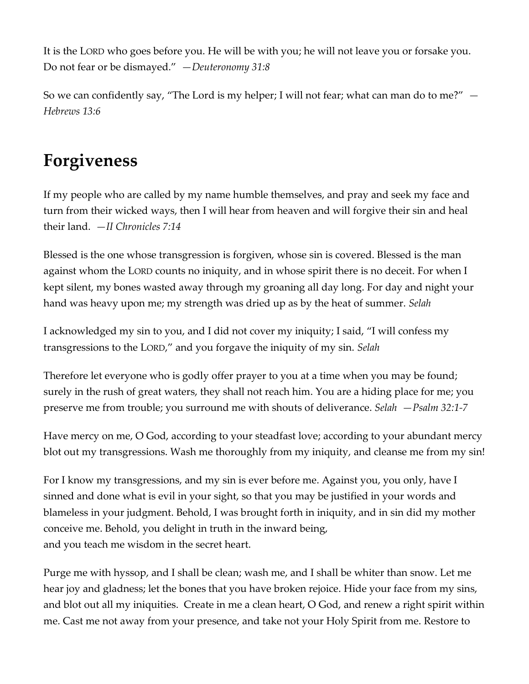It is the LORD who goes before you. He will be with you; he will not leave you or forsake you. Do not fear or be dismayed." *—Deuteronomy 31:8*

So we can confidently say, "The Lord is my helper; I will not fear; what can man do to me?" *— Hebrews 13:6*

# **Forgiveness**

If my people who are called by my name humble themselves, and pray and seek my face and turn from their wicked ways, then I will hear from heaven and will forgive their sin and heal their land. *—II Chronicles 7:14*

Blessed is the one whose transgression is forgiven, whose sin is covered. Blessed is the man against whom the LORD counts no iniquity, and in whose spirit there is no deceit. For when I kept silent, my bones wasted away through my groaning all day long. For day and night your hand was heavy upon me; my strength was dried up as by the heat of summer. *Selah*

I acknowledged my sin to you, and I did not cover my iniquity; I said, "I will confess my transgressions to the LORD," and you forgave the iniquity of my sin. *Selah*

Therefore let everyone who is godly offer prayer to you at a time when you may be found; surely in the rush of great waters, they shall not reach him. You are a hiding place for me; you preserve me from trouble; you surround me with shouts of deliverance. *Selah —Psalm 32:1-7*

Have mercy on me, O God, according to your steadfast love; according to your abundant mercy blot out my transgressions. Wash me thoroughly from my iniquity, and cleanse me from my sin!

For I know my transgressions, and my sin is ever before me. Against you, you only, have I sinned and done what is evil in your sight, so that you may be justified in your words and blameless in your judgment. Behold, I was brought forth in iniquity, and in sin did my mother conceive me. Behold, you delight in truth in the inward being, and you teach me wisdom in the secret heart.

Purge me with hyssop, and I shall be clean; wash me, and I shall be whiter than snow. Let me hear joy and gladness; let the bones that you have broken rejoice. Hide your face from my sins, and blot out all my iniquities. Create in me a clean heart, O God, and renew a right spirit within me. Cast me not away from your presence, and take not your Holy Spirit from me. Restore to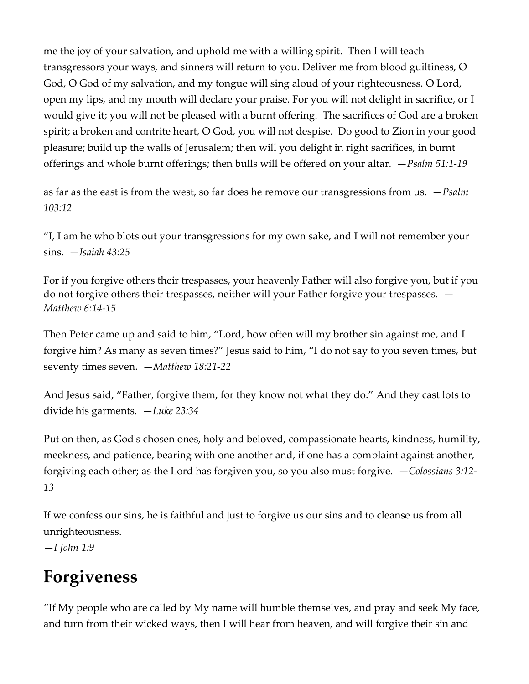me the joy of your salvation, and uphold me with a willing spirit. Then I will teach transgressors your ways, and sinners will return to you. Deliver me from blood guiltiness, O God, O God of my salvation, and my tongue will sing aloud of your righteousness. O Lord, open my lips, and my mouth will declare your praise. For you will not delight in sacrifice, or I would give it; you will not be pleased with a burnt offering. The sacrifices of God are a broken spirit; a broken and contrite heart, O God, you will not despise. Do good to Zion in your good pleasure; build up the walls of Jerusalem; then will you delight in right sacrifices, in burnt offerings and whole burnt offerings; then bulls will be offered on your altar. *—Psalm 51:1-19*

as far as the east is from the west, so far does he remove our transgressions from us. *—Psalm 103:12*

"I, I am he who blots out your transgressions for my own sake, and I will not remember your sins. *—Isaiah 43:25*

For if you forgive others their trespasses, your heavenly Father will also forgive you, but if you do not forgive others their trespasses, neither will your Father forgive your trespasses. *— Matthew 6:14-15*

Then Peter came up and said to him, "Lord, how often will my brother sin against me, and I forgive him? As many as seven times?" Jesus said to him, "I do not say to you seven times, but seventy times seven. *—Matthew 18:21-22*

And Jesus said, "Father, forgive them, for they know not what they do." And they cast lots to divide his garments. *—Luke 23:34*

Put on then, as God's chosen ones, holy and beloved, compassionate hearts, kindness, humility, meekness, and patience, bearing with one another and, if one has a complaint against another, forgiving each other; as the Lord has forgiven you, so you also must forgive. *—Colossians 3:12- 13*

If we confess our sins, he is faithful and just to forgive us our sins and to cleanse us from all unrighteousness.

*—I John 1:9*

# **Forgiveness**

"If My people who are called by My name will humble themselves, and pray and seek My face, and turn from their wicked ways, then I will hear from heaven, and will forgive their sin and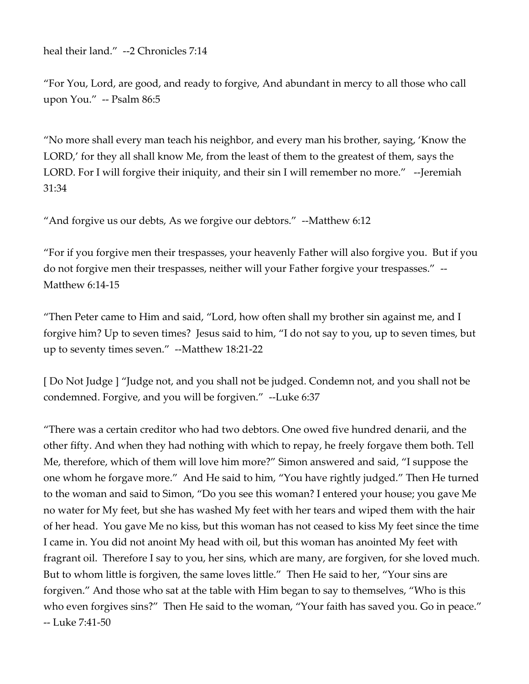heal their land." --2 Chronicles 7:14

"For You, Lord, are good, and ready to forgive, And abundant in mercy to all those who call upon You." -- Psalm 86:5

"No more shall every man teach his neighbor, and every man his brother, saying, 'Know the LORD,' for they all shall know Me, from the least of them to the greatest of them, says the LORD. For I will forgive their iniquity, and their sin I will remember no more." --Jeremiah 31:34

"And forgive us our debts, As we forgive our debtors." --Matthew 6:12

"For if you forgive men their trespasses, your heavenly Father will also forgive you. But if you do not forgive men their trespasses, neither will your Father forgive your trespasses." -- Matthew 6:14-15

"Then Peter came to Him and said, "Lord, how often shall my brother sin against me, and I forgive him? Up to seven times? Jesus said to him, "I do not say to you, up to seven times, but up to seventy times seven." --Matthew 18:21-22

[ Do Not Judge ] "Judge not, and you shall not be judged. Condemn not, and you shall not be condemned. Forgive, and you will be forgiven." --Luke 6:37

"There was a certain creditor who had two debtors. One owed five hundred denarii, and the other fifty. And when they had nothing with which to repay, he freely forgave them both. Tell Me, therefore, which of them will love him more?" Simon answered and said, "I suppose the one whom he forgave more." And He said to him, "You have rightly judged." Then He turned to the woman and said to Simon, "Do you see this woman? I entered your house; you gave Me no water for My feet, but she has washed My feet with her tears and wiped them with the hair of her head. You gave Me no kiss, but this woman has not ceased to kiss My feet since the time I came in. You did not anoint My head with oil, but this woman has anointed My feet with fragrant oil. Therefore I say to you, her sins, which are many, are forgiven, for she loved much. But to whom little is forgiven, the same loves little." Then He said to her, "Your sins are forgiven." And those who sat at the table with Him began to say to themselves, "Who is this who even forgives sins?" Then He said to the woman, "Your faith has saved you. Go in peace." -- Luke 7:41-50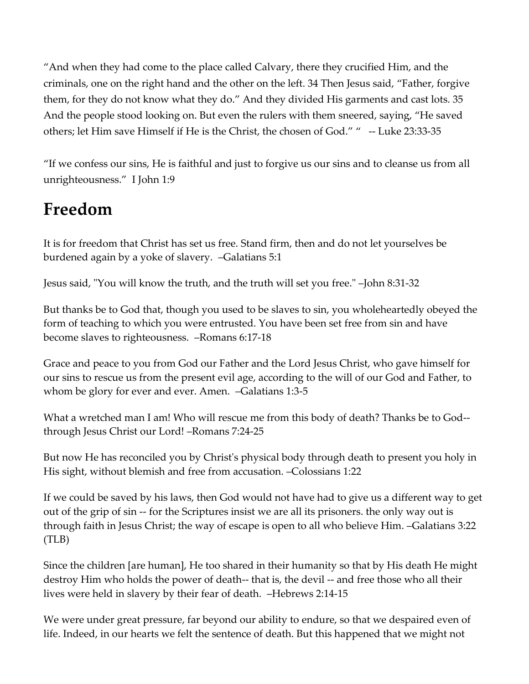"And when they had come to the place called Calvary, there they crucified Him, and the criminals, one on the right hand and the other on the left. 34 Then Jesus said, "Father, forgive them, for they do not know what they do." And they divided His garments and cast lots. 35 And the people stood looking on. But even the rulers with them sneered, saying, "He saved others; let Him save Himself if He is the Christ, the chosen of God." " -- Luke 23:33-35

"If we confess our sins, He is faithful and just to forgive us our sins and to cleanse us from all unrighteousness." I John 1:9

## **Freedom**

It is for freedom that Christ has set us free. Stand firm, then and do not let yourselves be burdened again by a yoke of slavery. –Galatians 5:1

Jesus said, "You will know the truth, and the truth will set you free." –John 8:31-32

But thanks be to God that, though you used to be slaves to sin, you wholeheartedly obeyed the form of teaching to which you were entrusted. You have been set free from sin and have become slaves to righteousness. –Romans 6:17-18

Grace and peace to you from God our Father and the Lord Jesus Christ, who gave himself for our sins to rescue us from the present evil age, according to the will of our God and Father, to whom be glory for ever and ever. Amen. –Galatians 1:3-5

What a wretched man I am! Who will rescue me from this body of death? Thanks be to God- through Jesus Christ our Lord! –Romans 7:24-25

But now He has reconciled you by Christ's physical body through death to present you holy in His sight, without blemish and free from accusation. –Colossians 1:22

If we could be saved by his laws, then God would not have had to give us a different way to get out of the grip of sin -- for the Scriptures insist we are all its prisoners. the only way out is through faith in Jesus Christ; the way of escape is open to all who believe Him. –Galatians 3:22 (TLB)

Since the children [are human], He too shared in their humanity so that by His death He might destroy Him who holds the power of death-- that is, the devil -- and free those who all their lives were held in slavery by their fear of death. –Hebrews 2:14-15

We were under great pressure, far beyond our ability to endure, so that we despaired even of life. Indeed, in our hearts we felt the sentence of death. But this happened that we might not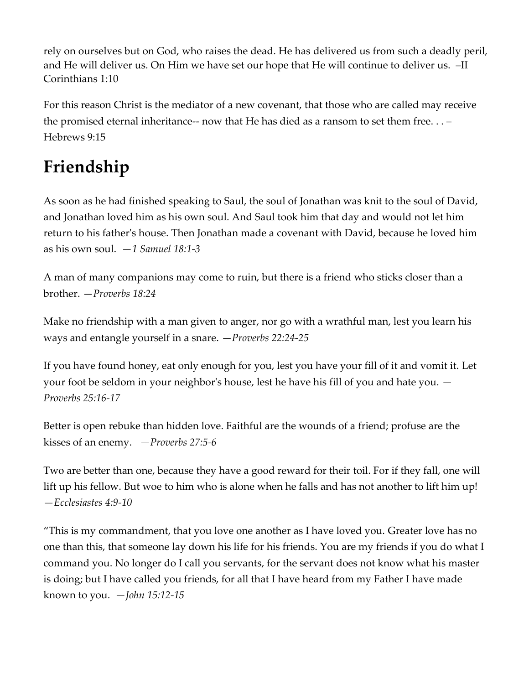rely on ourselves but on God, who raises the dead. He has delivered us from such a deadly peril, and He will deliver us. On Him we have set our hope that He will continue to deliver us. –II Corinthians 1:10

For this reason Christ is the mediator of a new covenant, that those who are called may receive the promised eternal inheritance-- now that He has died as a ransom to set them free. . . – Hebrews 9:15

# **Friendship**

As soon as he had finished speaking to Saul, the soul of Jonathan was knit to the soul of David, and Jonathan loved him as his own soul. And Saul took him that day and would not let him return to his father's house. Then Jonathan made a covenant with David, because he loved him as his own soul. *—1 Samuel 18:1-3*

A man of many companions may come to ruin, but there is a friend who sticks closer than a brother. *—Proverbs 18:24*

Make no friendship with a man given to anger, nor go with a wrathful man, lest you learn his ways and entangle yourself in a snare. *—Proverbs 22:24-25*

If you have found honey, eat only enough for you, lest you have your fill of it and vomit it. Let your foot be seldom in your neighbor's house, lest he have his fill of you and hate you. *— Proverbs 25:16-17*

Better is open rebuke than hidden love. Faithful are the wounds of a friend; profuse are the kisses of an enemy. *—Proverbs 27:5-6*

Two are better than one, because they have a good reward for their toil. For if they fall, one will lift up his fellow. But woe to him who is alone when he falls and has not another to lift him up! *—Ecclesiastes 4:9-10*

"This is my commandment, that you love one another as I have loved you. Greater love has no one than this, that someone lay down his life for his friends. You are my friends if you do what I command you. No longer do I call you servants, for the servant does not know what his master is doing; but I have called you friends, for all that I have heard from my Father I have made known to you. *—John 15:12-15*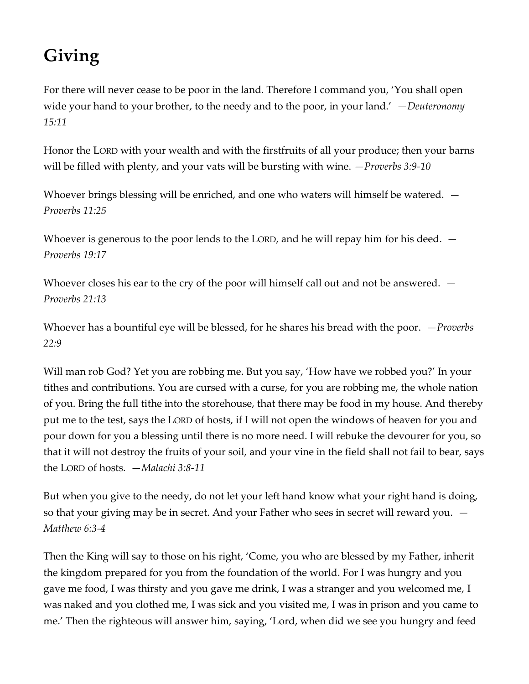# **Giving**

For there will never cease to be poor in the land. Therefore I command you, 'You shall open wide your hand to your brother, to the needy and to the poor, in your land.' *—Deuteronomy 15:11*

Honor the LORD with your wealth and with the firstfruits of all your produce; then your barns will be filled with plenty, and your vats will be bursting with wine. *—Proverbs 3:9-10*

Whoever brings blessing will be enriched, and one who waters will himself be watered. *— Proverbs 11:25*

Whoever is generous to the poor lends to the LORD, and he will repay him for his deed. *— Proverbs 19:17*

Whoever closes his ear to the cry of the poor will himself call out and not be answered. *— Proverbs 21:13*

Whoever has a bountiful eye will be blessed, for he shares his bread with the poor. *—Proverbs 22:9*

Will man rob God? Yet you are robbing me. But you say, 'How have we robbed you?' In your tithes and contributions. You are cursed with a curse, for you are robbing me, the whole nation of you. Bring the full tithe into the storehouse, that there may be food in my house. And thereby put me to the test, says the LORD of hosts, if I will not open the windows of heaven for you and pour down for you a blessing until there is no more need. I will rebuke the devourer for you, so that it will not destroy the fruits of your soil, and your vine in the field shall not fail to bear, says the LORD of hosts. *—Malachi 3:8-11*

But when you give to the needy, do not let your left hand know what your right hand is doing, so that your giving may be in secret. And your Father who sees in secret will reward you. *— Matthew 6:3-4*

Then the King will say to those on his right, 'Come, you who are blessed by my Father, inherit the kingdom prepared for you from the foundation of the world. For I was hungry and you gave me food, I was thirsty and you gave me drink, I was a stranger and you welcomed me, I was naked and you clothed me, I was sick and you visited me, I was in prison and you came to me.' Then the righteous will answer him, saying, 'Lord, when did we see you hungry and feed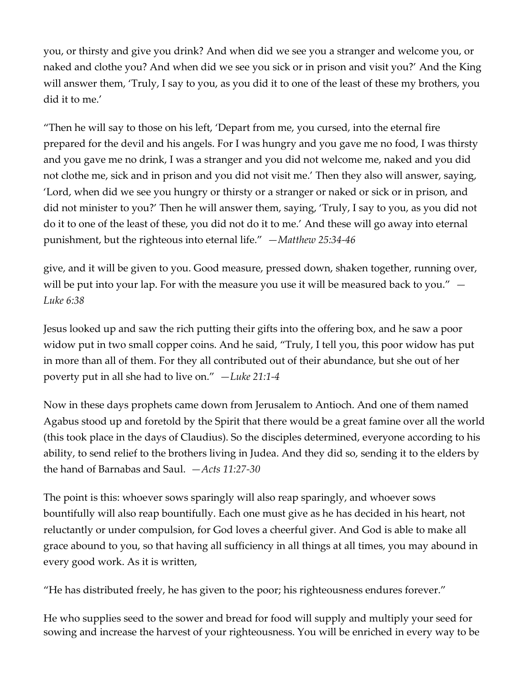you, or thirsty and give you drink? And when did we see you a stranger and welcome you, or naked and clothe you? And when did we see you sick or in prison and visit you?' And the King will answer them, 'Truly, I say to you, as you did it to one of the least of these my brothers, you did it to me.'

"Then he will say to those on his left, 'Depart from me, you cursed, into the eternal fire prepared for the devil and his angels. For I was hungry and you gave me no food, I was thirsty and you gave me no drink, I was a stranger and you did not welcome me, naked and you did not clothe me, sick and in prison and you did not visit me.' Then they also will answer, saying, 'Lord, when did we see you hungry or thirsty or a stranger or naked or sick or in prison, and did not minister to you?' Then he will answer them, saying, 'Truly, I say to you, as you did not do it to one of the least of these, you did not do it to me.' And these will go away into eternal punishment, but the righteous into eternal life." *—Matthew 25:34-46*

give, and it will be given to you. Good measure, pressed down, shaken together, running over, will be put into your lap. For with the measure you use it will be measured back to you." *— Luke 6:38*

Jesus looked up and saw the rich putting their gifts into the offering box, and he saw a poor widow put in two small copper coins. And he said, "Truly, I tell you, this poor widow has put in more than all of them. For they all contributed out of their abundance, but she out of her poverty put in all she had to live on." *—Luke 21:1-4*

Now in these days prophets came down from Jerusalem to Antioch. And one of them named Agabus stood up and foretold by the Spirit that there would be a great famine over all the world (this took place in the days of Claudius). So the disciples determined, everyone according to his ability, to send relief to the brothers living in Judea. And they did so, sending it to the elders by the hand of Barnabas and Saul. *—Acts 11:27-30*

The point is this: whoever sows sparingly will also reap sparingly, and whoever sows bountifully will also reap bountifully. Each one must give as he has decided in his heart, not reluctantly or under compulsion, for God loves a cheerful giver. And God is able to make all grace abound to you, so that having all sufficiency in all things at all times, you may abound in every good work. As it is written,

"He has distributed freely, he has given to the poor; his righteousness endures forever."

He who supplies seed to the sower and bread for food will supply and multiply your seed for sowing and increase the harvest of your righteousness. You will be enriched in every way to be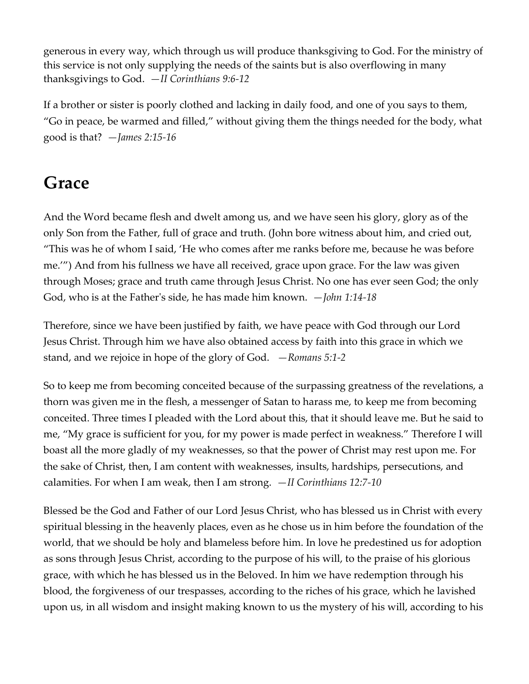generous in every way, which through us will produce thanksgiving to God. For the ministry of this service is not only supplying the needs of the saints but is also overflowing in many thanksgivings to God. *—II Corinthians 9:6-12*

If a brother or sister is poorly clothed and lacking in daily food, and one of you says to them, "Go in peace, be warmed and filled," without giving them the things needed for the body, what good is that? *—James 2:15-16*

## **Grace**

And the Word became flesh and dwelt among us, and we have seen his glory, glory as of the only Son from the Father, full of grace and truth. (John bore witness about him, and cried out, "This was he of whom I said, 'He who comes after me ranks before me, because he was before me.'") And from his fullness we have all received, grace upon grace. For the law was given through Moses; grace and truth came through Jesus Christ. No one has ever seen God; the only God, who is at the Father's side, he has made him known. *—John 1:14-18*

Therefore, since we have been justified by faith, we have peace with God through our Lord Jesus Christ. Through him we have also obtained access by faith into this grace in which we stand, and we rejoice in hope of the glory of God. *—Romans 5:1-2*

So to keep me from becoming conceited because of the surpassing greatness of the revelations, a thorn was given me in the flesh, a messenger of Satan to harass me, to keep me from becoming conceited. Three times I pleaded with the Lord about this, that it should leave me. But he said to me, "My grace is sufficient for you, for my power is made perfect in weakness." Therefore I will boast all the more gladly of my weaknesses, so that the power of Christ may rest upon me. For the sake of Christ, then, I am content with weaknesses, insults, hardships, persecutions, and calamities. For when I am weak, then I am strong. *—II Corinthians 12:7-10*

Blessed be the God and Father of our Lord Jesus Christ, who has blessed us in Christ with every spiritual blessing in the heavenly places, even as he chose us in him before the foundation of the world, that we should be holy and blameless before him. In love he predestined us for adoption as sons through Jesus Christ, according to the purpose of his will, to the praise of his glorious grace, with which he has blessed us in the Beloved. In him we have redemption through his blood, the forgiveness of our trespasses, according to the riches of his grace, which he lavished upon us, in all wisdom and insight making known to us the mystery of his will, according to his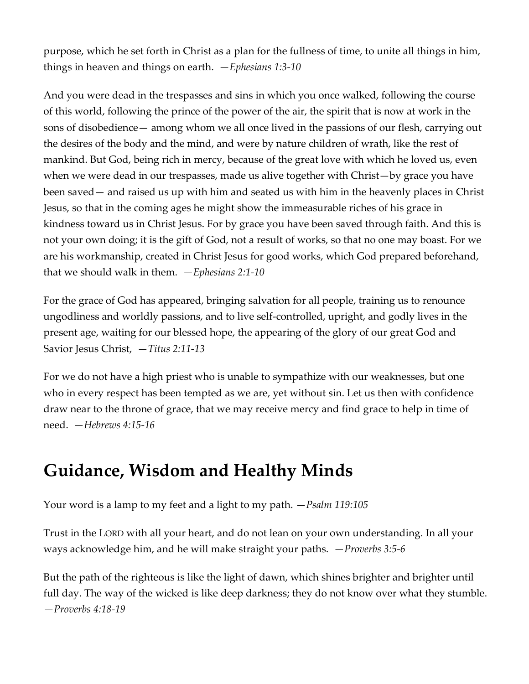purpose, which he set forth in Christ as a plan for the fullness of time, to unite all things in him, things in heaven and things on earth. *—Ephesians 1:3-10*

And you were dead in the trespasses and sins in which you once walked, following the course of this world, following the prince of the power of the air, the spirit that is now at work in the sons of disobedience— among whom we all once lived in the passions of our flesh, carrying out the desires of the body and the mind, and were by nature children of wrath, like the rest of mankind. But God, being rich in mercy, because of the great love with which he loved us, even when we were dead in our trespasses, made us alive together with Christ—by grace you have been saved— and raised us up with him and seated us with him in the heavenly places in Christ Jesus, so that in the coming ages he might show the immeasurable riches of his grace in kindness toward us in Christ Jesus. For by grace you have been saved through faith. And this is not your own doing; it is the gift of God, not a result of works, so that no one may boast. For we are his workmanship, created in Christ Jesus for good works, which God prepared beforehand, that we should walk in them. *—Ephesians 2:1-10*

For the grace of God has appeared, bringing salvation for all people, training us to renounce ungodliness and worldly passions, and to live self-controlled, upright, and godly lives in the present age, waiting for our blessed hope, the appearing of the glory of our great God and Savior Jesus Christ, *—Titus 2:11-13*

For we do not have a high priest who is unable to sympathize with our weaknesses, but one who in every respect has been tempted as we are, yet without sin. Let us then with confidence draw near to the throne of grace, that we may receive mercy and find grace to help in time of need. *—Hebrews 4:15-16* 

## **Guidance, Wisdom and Healthy Minds**

Your word is a lamp to my feet and a light to my path. *—Psalm 119:105*

Trust in the LORD with all your heart, and do not lean on your own understanding. In all your ways acknowledge him, and he will make straight your paths. *—Proverbs 3:5-6*

But the path of the righteous is like the light of dawn, which shines brighter and brighter until full day. The way of the wicked is like deep darkness; they do not know over what they stumble. *—Proverbs 4:18-19*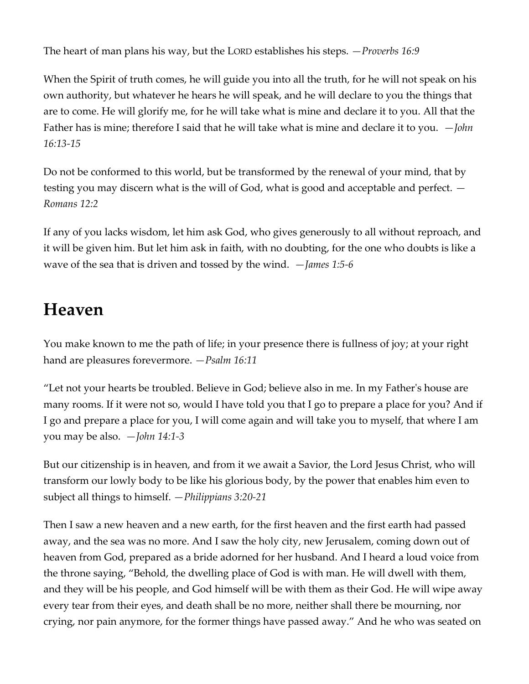The heart of man plans his way, but the LORD establishes his steps. *—Proverbs 16:9*

When the Spirit of truth comes, he will guide you into all the truth, for he will not speak on his own authority, but whatever he hears he will speak, and he will declare to you the things that are to come. He will glorify me, for he will take what is mine and declare it to you. All that the Father has is mine; therefore I said that he will take what is mine and declare it to you. *—John 16:13-15*

Do not be conformed to this world, but be transformed by the renewal of your mind, that by testing you may discern what is the will of God, what is good and acceptable and perfect. *— Romans 12:2* 

If any of you lacks wisdom, let him ask God, who gives generously to all without reproach, and it will be given him. But let him ask in faith, with no doubting, for the one who doubts is like a wave of the sea that is driven and tossed by the wind. *—James 1:5-6* 

## **Heaven**

You make known to me the path of life; in your presence there is fullness of joy; at your right hand are pleasures forevermore. *—Psalm 16:11*

"Let not your hearts be troubled. Believe in God; believe also in me. In my Father's house are many rooms. If it were not so, would I have told you that I go to prepare a place for you? And if I go and prepare a place for you, I will come again and will take you to myself, that where I am you may be also. *—John 14:1-3*

But our citizenship is in heaven, and from it we await a Savior, the Lord Jesus Christ, who will transform our lowly body to be like his glorious body, by the power that enables him even to subject all things to himself. *—Philippians 3:20-21*

Then I saw a new heaven and a new earth, for the first heaven and the first earth had passed away, and the sea was no more. And I saw the holy city, new Jerusalem, coming down out of heaven from God, prepared as a bride adorned for her husband. And I heard a loud voice from the throne saying, "Behold, the dwelling place of God is with man. He will dwell with them, and they will be his people, and God himself will be with them as their God. He will wipe away every tear from their eyes, and death shall be no more, neither shall there be mourning, nor crying, nor pain anymore, for the former things have passed away." And he who was seated on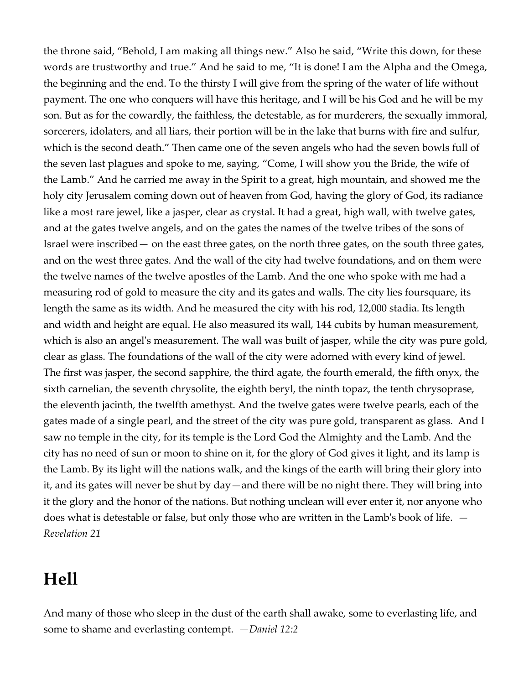the throne said, "Behold, I am making all things new." Also he said, "Write this down, for these words are trustworthy and true." And he said to me, "It is done! I am the Alpha and the Omega, the beginning and the end. To the thirsty I will give from the spring of the water of life without payment. The one who conquers will have this heritage, and I will be his God and he will be my son. But as for the cowardly, the faithless, the detestable, as for murderers, the sexually immoral, sorcerers, idolaters, and all liars, their portion will be in the lake that burns with fire and sulfur, which is the second death." Then came one of the seven angels who had the seven bowls full of the seven last plagues and spoke to me, saying, "Come, I will show you the Bride, the wife of the Lamb." And he carried me away in the Spirit to a great, high mountain, and showed me the holy city Jerusalem coming down out of heaven from God, having the glory of God, its radiance like a most rare jewel, like a jasper, clear as crystal. It had a great, high wall, with twelve gates, and at the gates twelve angels, and on the gates the names of the twelve tribes of the sons of Israel were inscribed— on the east three gates, on the north three gates, on the south three gates, and on the west three gates. And the wall of the city had twelve foundations, and on them were the twelve names of the twelve apostles of the Lamb. And the one who spoke with me had a measuring rod of gold to measure the city and its gates and walls. The city lies foursquare, its length the same as its width. And he measured the city with his rod, 12,000 stadia. Its length and width and height are equal. He also measured its wall, 144 cubits by human measurement, which is also an angel's measurement. The wall was built of jasper, while the city was pure gold, clear as glass. The foundations of the wall of the city were adorned with every kind of jewel. The first was jasper, the second sapphire, the third agate, the fourth emerald, the fifth onyx, the sixth carnelian, the seventh chrysolite, the eighth beryl, the ninth topaz, the tenth chrysoprase, the eleventh jacinth, the twelfth amethyst. And the twelve gates were twelve pearls, each of the gates made of a single pearl, and the street of the city was pure gold, transparent as glass. And I saw no temple in the city, for its temple is the Lord God the Almighty and the Lamb. And the city has no need of sun or moon to shine on it, for the glory of God gives it light, and its lamp is the Lamb. By its light will the nations walk, and the kings of the earth will bring their glory into it, and its gates will never be shut by day—and there will be no night there. They will bring into it the glory and the honor of the nations. But nothing unclean will ever enter it, nor anyone who does what is detestable or false, but only those who are written in the Lamb's book of life. *— Revelation 21* 

## **Hell**

And many of those who sleep in the dust of the earth shall awake, some to everlasting life, and some to shame and everlasting contempt. *—Daniel 12:2*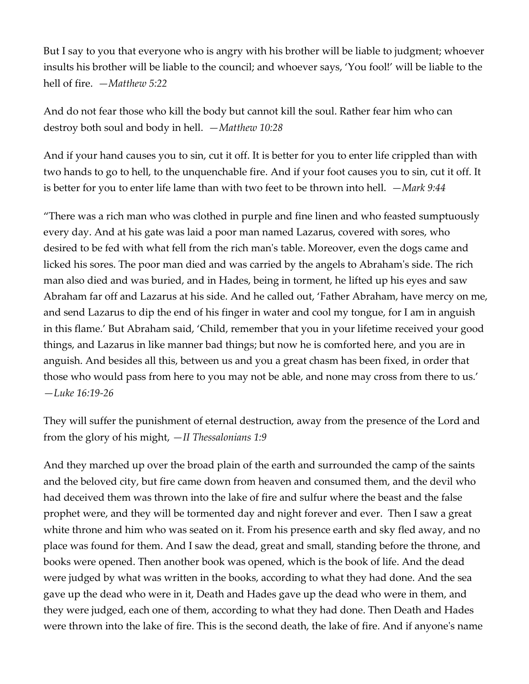But I say to you that everyone who is angry with his brother will be liable to judgment; whoever insults his brother will be liable to the council; and whoever says, 'You fool!' will be liable to the hell of fire. *—Matthew 5:22*

And do not fear those who kill the body but cannot kill the soul. Rather fear him who can destroy both soul and body in hell. *—Matthew 10:28*

And if your hand causes you to sin, cut it off. It is better for you to enter life crippled than with two hands to go to hell, to the unquenchable fire. And if your foot causes you to sin, cut it off. It is better for you to enter life lame than with two feet to be thrown into hell. *—Mark 9:44*

"There was a rich man who was clothed in purple and fine linen and who feasted sumptuously every day. And at his gate was laid a poor man named Lazarus, covered with sores, who desired to be fed with what fell from the rich man's table. Moreover, even the dogs came and licked his sores. The poor man died and was carried by the angels to Abraham's side. The rich man also died and was buried, and in Hades, being in torment, he lifted up his eyes and saw Abraham far off and Lazarus at his side. And he called out, 'Father Abraham, have mercy on me, and send Lazarus to dip the end of his finger in water and cool my tongue, for I am in anguish in this flame.' But Abraham said, 'Child, remember that you in your lifetime received your good things, and Lazarus in like manner bad things; but now he is comforted here, and you are in anguish. And besides all this, between us and you a great chasm has been fixed, in order that those who would pass from here to you may not be able, and none may cross from there to us.' *—Luke 16:19-26*

They will suffer the punishment of eternal destruction, away from the presence of the Lord and from the glory of his might, *—II Thessalonians 1:9*

And they marched up over the broad plain of the earth and surrounded the camp of the saints and the beloved city, but fire came down from heaven and consumed them, and the devil who had deceived them was thrown into the lake of fire and sulfur where the beast and the false prophet were, and they will be tormented day and night forever and ever. Then I saw a great white throne and him who was seated on it. From his presence earth and sky fled away, and no place was found for them. And I saw the dead, great and small, standing before the throne, and books were opened. Then another book was opened, which is the book of life. And the dead were judged by what was written in the books, according to what they had done. And the sea gave up the dead who were in it, Death and Hades gave up the dead who were in them, and they were judged, each one of them, according to what they had done. Then Death and Hades were thrown into the lake of fire. This is the second death, the lake of fire. And if anyone's name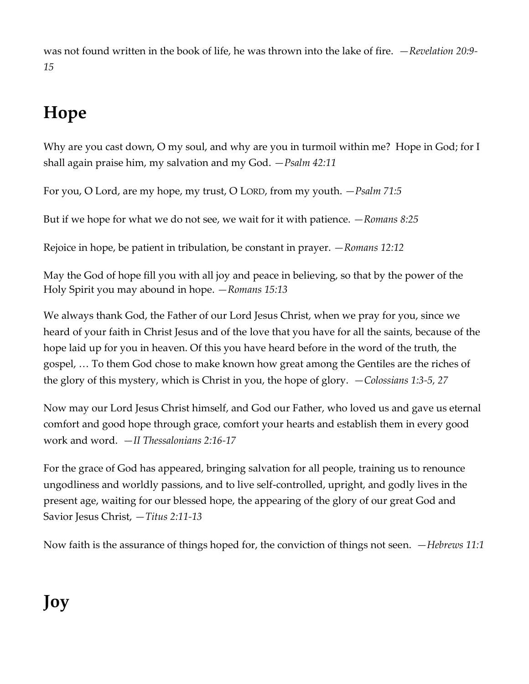was not found written in the book of life, he was thrown into the lake of fire. *—Revelation 20:9- 15*

# **Hope**

Why are you cast down, O my soul, and why are you in turmoil within me? Hope in God; for I shall again praise him, my salvation and my God. *—Psalm 42:11*

For you, O Lord, are my hope, my trust, O LORD, from my youth. *—Psalm 71:5*

But if we hope for what we do not see, we wait for it with patience. *—Romans 8:25*

Rejoice in hope, be patient in tribulation, be constant in prayer. *—Romans 12:12*

May the God of hope fill you with all joy and peace in believing, so that by the power of the Holy Spirit you may abound in hope. *—Romans 15:13*

We always thank God, the Father of our Lord Jesus Christ, when we pray for you, since we heard of your faith in Christ Jesus and of the love that you have for all the saints, because of the hope laid up for you in heaven. Of this you have heard before in the word of the truth, the gospel, … To them God chose to make known how great among the Gentiles are the riches of the glory of this mystery, which is Christ in you, the hope of glory. *—Colossians 1:3-5, 27*

Now may our Lord Jesus Christ himself, and God our Father, who loved us and gave us eternal comfort and good hope through grace, comfort your hearts and establish them in every good work and word. *—II Thessalonians 2:16-17*

For the grace of God has appeared, bringing salvation for all people, training us to renounce ungodliness and worldly passions, and to live self-controlled, upright, and godly lives in the present age, waiting for our blessed hope, the appearing of the glory of our great God and Savior Jesus Christ, *—Titus 2:11-13*

Now faith is the assurance of things hoped for, the conviction of things not seen. *—Hebrews 11:1*

# **Joy**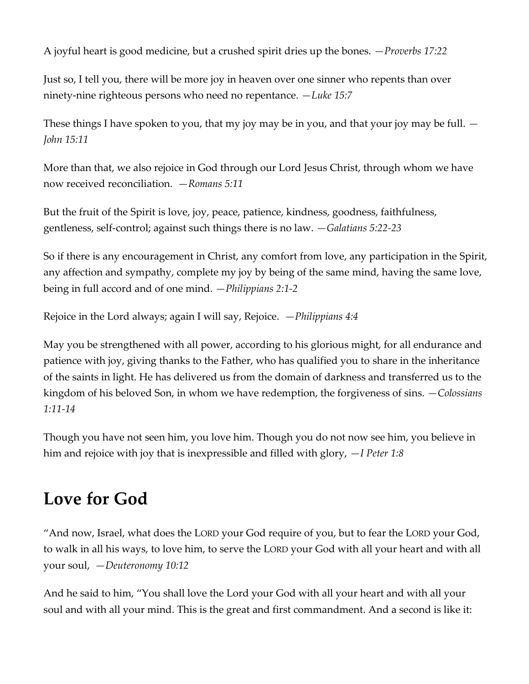A joyful heart is good medicine, but a crushed spirit dries up the bones. *—Proverbs 17:22* 

Just so, I tell you, there will be more joy in heaven over one sinner who repents than over ninety-nine righteous persons who need no repentance. *—Luke 15:7*

These things I have spoken to you, that my joy may be in you, and that your joy may be full. *— John 15:11*

More than that, we also rejoice in God through our Lord Jesus Christ, through whom we have now received reconciliation. *—Romans 5:11*

But the fruit of the Spirit is love, joy, peace, patience, kindness, goodness, faithfulness, gentleness, self-control; against such things there is no law. *—Galatians 5:22-23*

So if there is any encouragement in Christ, any comfort from love, any participation in the Spirit, any affection and sympathy, complete my joy by being of the same mind, having the same love, being in full accord and of one mind. *—Philippians 2:1-2*

Rejoice in the Lord always; again I will say, Rejoice. *—Philippians 4:4*

May you be strengthened with all power, according to his glorious might, for all endurance and patience with joy, giving thanks to the Father, who has qualified you to share in the inheritance of the saints in light. He has delivered us from the domain of darkness and transferred us to the kingdom of his beloved Son, in whom we have redemption, the forgiveness of sins. *—Colossians 1:11-14*

Though you have not seen him, you love him. Though you do not now see him, you believe in him and rejoice with joy that is inexpressible and filled with glory, *—I Peter 1:8*

## **Love for God**

"And now, Israel, what does the LORD your God require of you, but to fear the LORD your God, to walk in all his ways, to love him, to serve the LORD your God with all your heart and with all your soul, *—Deuteronomy 10:12*

And he said to him, "You shall love the Lord your God with all your heart and with all your soul and with all your mind. This is the great and first commandment. And a second is like it: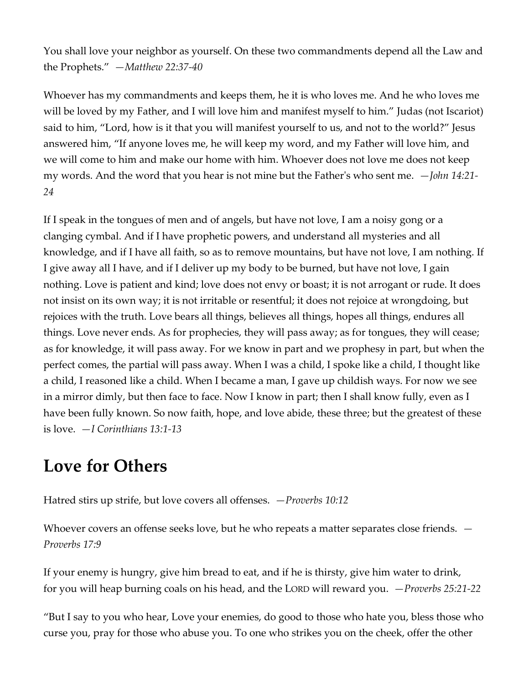You shall love your neighbor as yourself. On these two commandments depend all the Law and the Prophets." *—Matthew 22:37-40*

Whoever has my commandments and keeps them, he it is who loves me. And he who loves me will be loved by my Father, and I will love him and manifest myself to him." Judas (not Iscariot) said to him, "Lord, how is it that you will manifest yourself to us, and not to the world?" Jesus answered him, "If anyone loves me, he will keep my word, and my Father will love him, and we will come to him and make our home with him. Whoever does not love me does not keep my words. And the word that you hear is not mine but the Father's who sent me. *—John 14:21- 24*

If I speak in the tongues of men and of angels, but have not love, I am a noisy gong or a clanging cymbal. And if I have prophetic powers, and understand all mysteries and all knowledge, and if I have all faith, so as to remove mountains, but have not love, I am nothing. If I give away all I have, and if I deliver up my body to be burned, but have not love, I gain nothing. Love is patient and kind; love does not envy or boast; it is not arrogant or rude. It does not insist on its own way; it is not irritable or resentful; it does not rejoice at wrongdoing, but rejoices with the truth. Love bears all things, believes all things, hopes all things, endures all things. Love never ends. As for prophecies, they will pass away; as for tongues, they will cease; as for knowledge, it will pass away. For we know in part and we prophesy in part, but when the perfect comes, the partial will pass away. When I was a child, I spoke like a child, I thought like a child, I reasoned like a child. When I became a man, I gave up childish ways. For now we see in a mirror dimly, but then face to face. Now I know in part; then I shall know fully, even as I have been fully known. So now faith, hope, and love abide, these three; but the greatest of these is love. *—I Corinthians 13:1-13* 

## **Love for Others**

Hatred stirs up strife, but love covers all offenses. *—Proverbs 10:12*

Whoever covers an offense seeks love, but he who repeats a matter separates close friends. *— Proverbs 17:9*

If your enemy is hungry, give him bread to eat, and if he is thirsty, give him water to drink, for you will heap burning coals on his head, and the LORD will reward you. *—Proverbs 25:21-22*

"But I say to you who hear, Love your enemies, do good to those who hate you, bless those who curse you, pray for those who abuse you. To one who strikes you on the cheek, offer the other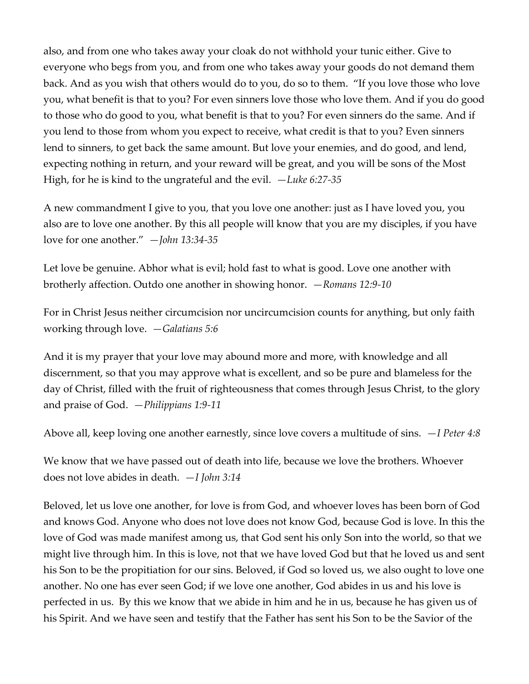also, and from one who takes away your cloak do not withhold your tunic either. Give to everyone who begs from you, and from one who takes away your goods do not demand them back. And as you wish that others would do to you, do so to them. "If you love those who love you, what benefit is that to you? For even sinners love those who love them. And if you do good to those who do good to you, what benefit is that to you? For even sinners do the same. And if you lend to those from whom you expect to receive, what credit is that to you? Even sinners lend to sinners, to get back the same amount. But love your enemies, and do good, and lend, expecting nothing in return, and your reward will be great, and you will be sons of the Most High, for he is kind to the ungrateful and the evil. *—Luke 6:27-35*

A new commandment I give to you, that you love one another: just as I have loved you, you also are to love one another. By this all people will know that you are my disciples, if you have love for one another." *—John 13:34-35*

Let love be genuine. Abhor what is evil; hold fast to what is good. Love one another with brotherly affection. Outdo one another in showing honor. *—Romans 12:9-10*

For in Christ Jesus neither circumcision nor uncircumcision counts for anything, but only faith working through love. *—Galatians 5:6*

And it is my prayer that your love may abound more and more, with knowledge and all discernment, so that you may approve what is excellent, and so be pure and blameless for the day of Christ, filled with the fruit of righteousness that comes through Jesus Christ, to the glory and praise of God. *—Philippians 1:9-11*

Above all, keep loving one another earnestly, since love covers a multitude of sins. *—I Peter 4:8*

We know that we have passed out of death into life, because we love the brothers. Whoever does not love abides in death. *—I John 3:14*

Beloved, let us love one another, for love is from God, and whoever loves has been born of God and knows God. Anyone who does not love does not know God, because God is love. In this the love of God was made manifest among us, that God sent his only Son into the world, so that we might live through him. In this is love, not that we have loved God but that he loved us and sent his Son to be the propitiation for our sins. Beloved, if God so loved us, we also ought to love one another. No one has ever seen God; if we love one another, God abides in us and his love is perfected in us. By this we know that we abide in him and he in us, because he has given us of his Spirit. And we have seen and testify that the Father has sent his Son to be the Savior of the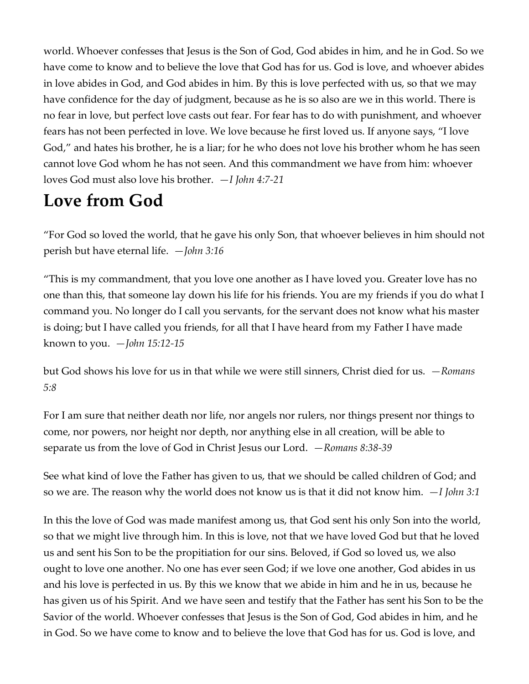world. Whoever confesses that Jesus is the Son of God, God abides in him, and he in God. So we have come to know and to believe the love that God has for us. God is love, and whoever abides in love abides in God, and God abides in him. By this is love perfected with us, so that we may have confidence for the day of judgment, because as he is so also are we in this world. There is no fear in love, but perfect love casts out fear. For fear has to do with punishment, and whoever fears has not been perfected in love. We love because he first loved us. If anyone says, "I love God," and hates his brother, he is a liar; for he who does not love his brother whom he has seen cannot love God whom he has not seen. And this commandment we have from him: whoever loves God must also love his brother. *—I John 4:7-21*

# **Love from God**

"For God so loved the world, that he gave his only Son, that whoever believes in him should not perish but have eternal life. *—John 3:16*

"This is my commandment, that you love one another as I have loved you. Greater love has no one than this, that someone lay down his life for his friends. You are my friends if you do what I command you. No longer do I call you servants, for the servant does not know what his master is doing; but I have called you friends, for all that I have heard from my Father I have made known to you. *—John 15:12-15*

but God shows his love for us in that while we were still sinners, Christ died for us. *—Romans 5:8*

For I am sure that neither death nor life, nor angels nor rulers, nor things present nor things to come, nor powers, nor height nor depth, nor anything else in all creation, will be able to separate us from the love of God in Christ Jesus our Lord. *—Romans 8:38-39*

See what kind of love the Father has given to us, that we should be called children of God; and so we are. The reason why the world does not know us is that it did not know him. *—I John 3:1*

In this the love of God was made manifest among us, that God sent his only Son into the world, so that we might live through him. In this is love, not that we have loved God but that he loved us and sent his Son to be the propitiation for our sins. Beloved, if God so loved us, we also ought to love one another. No one has ever seen God; if we love one another, God abides in us and his love is perfected in us. By this we know that we abide in him and he in us, because he has given us of his Spirit. And we have seen and testify that the Father has sent his Son to be the Savior of the world. Whoever confesses that Jesus is the Son of God, God abides in him, and he in God. So we have come to know and to believe the love that God has for us. God is love, and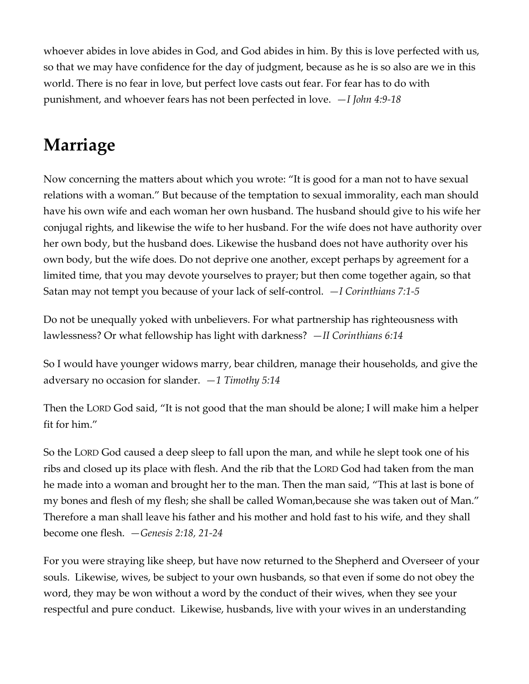whoever abides in love abides in God, and God abides in him. By this is love perfected with us, so that we may have confidence for the day of judgment, because as he is so also are we in this world. There is no fear in love, but perfect love casts out fear. For fear has to do with punishment, and whoever fears has not been perfected in love. *—I John 4:9-18* 

# **Marriage**

Now concerning the matters about which you wrote: "It is good for a man not to have sexual relations with a woman." But because of the temptation to sexual immorality, each man should have his own wife and each woman her own husband. The husband should give to his wife her conjugal rights, and likewise the wife to her husband. For the wife does not have authority over her own body, but the husband does. Likewise the husband does not have authority over his own body, but the wife does. Do not deprive one another, except perhaps by agreement for a limited time, that you may devote yourselves to prayer; but then come together again, so that Satan may not tempt you because of your lack of self-control. *—I Corinthians 7:1-5*

Do not be unequally yoked with unbelievers. For what partnership has righteousness with lawlessness? Or what fellowship has light with darkness? *—II Corinthians 6:14*

So I would have younger widows marry, bear children, manage their households, and give the adversary no occasion for slander. *—1 Timothy 5:14*

Then the LORD God said, "It is not good that the man should be alone; I will make him a helper fit for him."

So the LORD God caused a deep sleep to fall upon the man, and while he slept took one of his ribs and closed up its place with flesh. And the rib that the LORD God had taken from the man he made into a woman and brought her to the man. Then the man said, "This at last is bone of my bones and flesh of my flesh; she shall be called Woman,because she was taken out of Man." Therefore a man shall leave his father and his mother and hold fast to his wife, and they shall become one flesh. *—Genesis 2:18, 21-24*

For you were straying like sheep, but have now returned to the Shepherd and Overseer of your souls. Likewise, wives, be subject to your own husbands, so that even if some do not obey the word, they may be won without a word by the conduct of their wives, when they see your respectful and pure conduct. Likewise, husbands, live with your wives in an understanding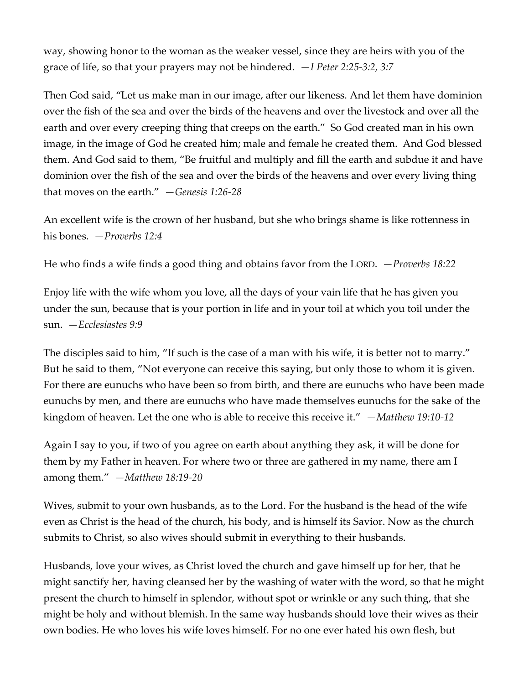way, showing honor to the woman as the weaker vessel, since they are heirs with you of the grace of life, so that your prayers may not be hindered. *—I Peter 2:25-3:2, 3:7*

Then God said, "Let us make man in our image, after our likeness. And let them have dominion over the fish of the sea and over the birds of the heavens and over the livestock and over all the earth and over every creeping thing that creeps on the earth." So God created man in his own image, in the image of God he created him; male and female he created them. And God blessed them. And God said to them, "Be fruitful and multiply and fill the earth and subdue it and have dominion over the fish of the sea and over the birds of the heavens and over every living thing that moves on the earth." *—Genesis 1:26-28*

An excellent wife is the crown of her husband, but she who brings shame is like rottenness in his bones. *—Proverbs 12:4*

He who finds a wife finds a good thing and obtains favor from the LORD. *—Proverbs 18:22*

Enjoy life with the wife whom you love, all the days of your vain life that he has given you under the sun, because that is your portion in life and in your toil at which you toil under the sun. *—Ecclesiastes 9:9* 

The disciples said to him, "If such is the case of a man with his wife, it is better not to marry." But he said to them, "Not everyone can receive this saying, but only those to whom it is given. For there are eunuchs who have been so from birth, and there are eunuchs who have been made eunuchs by men, and there are eunuchs who have made themselves eunuchs for the sake of the kingdom of heaven. Let the one who is able to receive this receive it." *—Matthew 19:10-12*

Again I say to you, if two of you agree on earth about anything they ask, it will be done for them by my Father in heaven. For where two or three are gathered in my name, there am I among them." *—Matthew 18:19-20*

Wives, submit to your own husbands, as to the Lord. For the husband is the head of the wife even as Christ is the head of the church, his body, and is himself its Savior. Now as the church submits to Christ, so also wives should submit in everything to their husbands.

Husbands, love your wives, as Christ loved the church and gave himself up for her, that he might sanctify her, having cleansed her by the washing of water with the word, so that he might present the church to himself in splendor, without spot or wrinkle or any such thing, that she might be holy and without blemish. In the same way husbands should love their wives as their own bodies. He who loves his wife loves himself. For no one ever hated his own flesh, but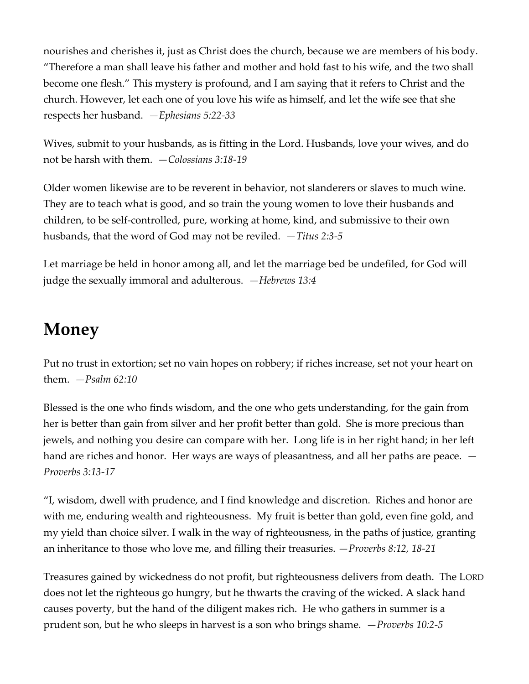nourishes and cherishes it, just as Christ does the church, because we are members of his body. "Therefore a man shall leave his father and mother and hold fast to his wife, and the two shall become one flesh." This mystery is profound, and I am saying that it refers to Christ and the church. However, let each one of you love his wife as himself, and let the wife see that she respects her husband. *—Ephesians 5:22-33*

Wives, submit to your husbands, as is fitting in the Lord. Husbands, love your wives, and do not be harsh with them. *—Colossians 3:18-19*

Older women likewise are to be reverent in behavior, not slanderers or slaves to much wine. They are to teach what is good, and so train the young women to love their husbands and children, to be self-controlled, pure, working at home, kind, and submissive to their own husbands, that the word of God may not be reviled. *—Titus 2:3-5*

Let marriage be held in honor among all, and let the marriage bed be undefiled, for God will judge the sexually immoral and adulterous. *—Hebrews 13:4*

#### **Money**

Put no trust in extortion; set no vain hopes on robbery; if riches increase, set not your heart on them. *—Psalm 62:10*

Blessed is the one who finds wisdom, and the one who gets understanding, for the gain from her is better than gain from silver and her profit better than gold. She is more precious than jewels, and nothing you desire can compare with her. Long life is in her right hand; in her left hand are riches and honor. Her ways are ways of pleasantness, and all her paths are peace. *— Proverbs 3:13-17*

"I, wisdom, dwell with prudence, and I find knowledge and discretion. Riches and honor are with me, enduring wealth and righteousness. My fruit is better than gold, even fine gold, and my yield than choice silver. I walk in the way of righteousness, in the paths of justice, granting an inheritance to those who love me, and filling their treasuries. *—Proverbs 8:12, 18-21*

Treasures gained by wickedness do not profit, but righteousness delivers from death. The LORD does not let the righteous go hungry, but he thwarts the craving of the wicked. A slack hand causes poverty, but the hand of the diligent makes rich. He who gathers in summer is a prudent son, but he who sleeps in harvest is a son who brings shame. *—Proverbs 10:2-5*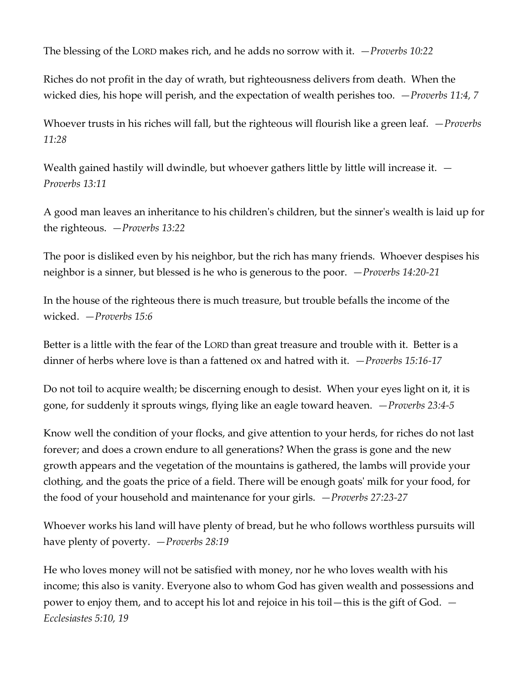The blessing of the LORD makes rich, and he adds no sorrow with it. *—Proverbs 10:22*

Riches do not profit in the day of wrath, but righteousness delivers from death. When the wicked dies, his hope will perish, and the expectation of wealth perishes too. *—Proverbs 11:4, 7*

Whoever trusts in his riches will fall, but the righteous will flourish like a green leaf. *—Proverbs 11:28*

Wealth gained hastily will dwindle, but whoever gathers little by little will increase it. *— Proverbs 13:11*

A good man leaves an inheritance to his children's children, but the sinner's wealth is laid up for the righteous. *—Proverbs 13:22*

The poor is disliked even by his neighbor, but the rich has many friends. Whoever despises his neighbor is a sinner, but blessed is he who is generous to the poor. *—Proverbs 14:20-21*

In the house of the righteous there is much treasure, but trouble befalls the income of the wicked. *—Proverbs 15:6*

Better is a little with the fear of the LORD than great treasure and trouble with it. Better is a dinner of herbs where love is than a fattened ox and hatred with it. *—Proverbs 15:16-17*

Do not toil to acquire wealth; be discerning enough to desist. When your eyes light on it, it is gone, for suddenly it sprouts wings, flying like an eagle toward heaven. *—Proverbs 23:4-5*

Know well the condition of your flocks, and give attention to your herds, for riches do not last forever; and does a crown endure to all generations? When the grass is gone and the new growth appears and the vegetation of the mountains is gathered, the lambs will provide your clothing, and the goats the price of a field. There will be enough goats' milk for your food, for the food of your household and maintenance for your girls. *—Proverbs 27:23-27*

Whoever works his land will have plenty of bread, but he who follows worthless pursuits will have plenty of poverty. *—Proverbs 28:19*

He who loves money will not be satisfied with money, nor he who loves wealth with his income; this also is vanity. Everyone also to whom God has given wealth and possessions and power to enjoy them, and to accept his lot and rejoice in his toil—this is the gift of God. *— Ecclesiastes 5:10, 19*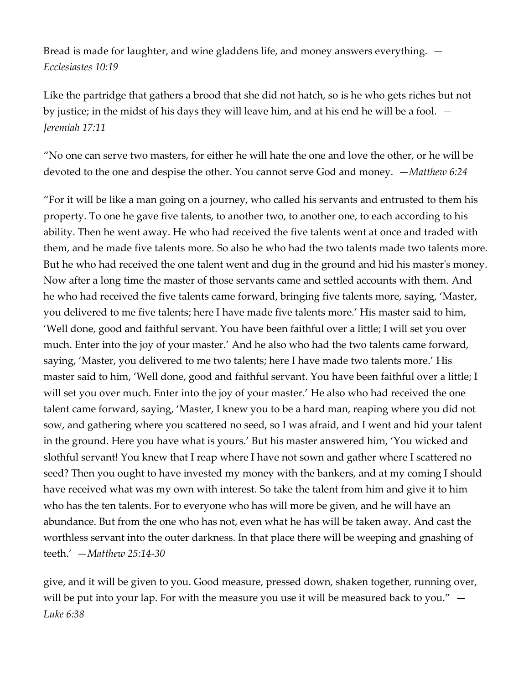Bread is made for laughter, and wine gladdens life, and money answers everything. *— Ecclesiastes 10:19*

Like the partridge that gathers a brood that she did not hatch, so is he who gets riches but not by justice; in the midst of his days they will leave him, and at his end he will be a fool. *— Jeremiah 17:11*

"No one can serve two masters, for either he will hate the one and love the other, or he will be devoted to the one and despise the other. You cannot serve God and money. *—Matthew 6:24*

"For it will be like a man going on a journey, who called his servants and entrusted to them his property. To one he gave five talents, to another two, to another one, to each according to his ability. Then he went away. He who had received the five talents went at once and traded with them, and he made five talents more. So also he who had the two talents made two talents more. But he who had received the one talent went and dug in the ground and hid his master's money. Now after a long time the master of those servants came and settled accounts with them. And he who had received the five talents came forward, bringing five talents more, saying, 'Master, you delivered to me five talents; here I have made five talents more.' His master said to him, 'Well done, good and faithful servant. You have been faithful over a little; I will set you over much. Enter into the joy of your master.' And he also who had the two talents came forward, saying, 'Master, you delivered to me two talents; here I have made two talents more.' His master said to him, 'Well done, good and faithful servant. You have been faithful over a little; I will set you over much. Enter into the joy of your master.' He also who had received the one talent came forward, saying, 'Master, I knew you to be a hard man, reaping where you did not sow, and gathering where you scattered no seed, so I was afraid, and I went and hid your talent in the ground. Here you have what is yours.' But his master answered him, 'You wicked and slothful servant! You knew that I reap where I have not sown and gather where I scattered no seed? Then you ought to have invested my money with the bankers, and at my coming I should have received what was my own with interest. So take the talent from him and give it to him who has the ten talents. For to everyone who has will more be given, and he will have an abundance. But from the one who has not, even what he has will be taken away. And cast the worthless servant into the outer darkness. In that place there will be weeping and gnashing of teeth.' *—Matthew 25:14-30*

give, and it will be given to you. Good measure, pressed down, shaken together, running over, will be put into your lap. For with the measure you use it will be measured back to you." *— Luke 6:38*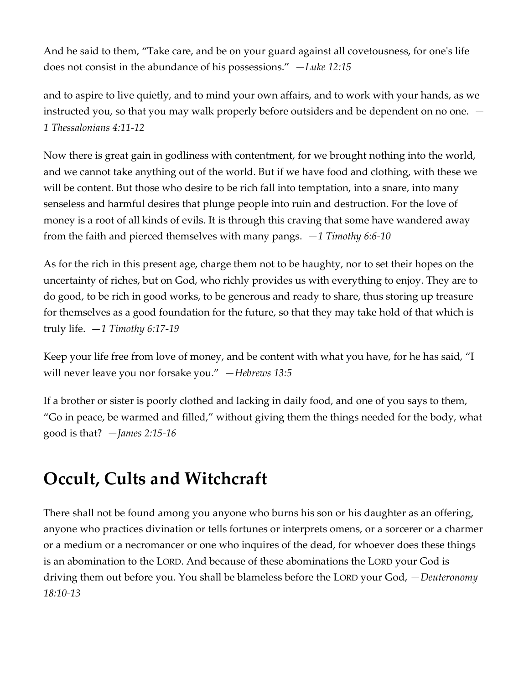And he said to them, "Take care, and be on your guard against all covetousness, for one's life does not consist in the abundance of his possessions." *—Luke 12:15*

and to aspire to live quietly, and to mind your own affairs, and to work with your hands, as we instructed you, so that you may walk properly before outsiders and be dependent on no one. *— 1 Thessalonians 4:11-12*

Now there is great gain in godliness with contentment, for we brought nothing into the world, and we cannot take anything out of the world. But if we have food and clothing, with these we will be content. But those who desire to be rich fall into temptation, into a snare, into many senseless and harmful desires that plunge people into ruin and destruction. For the love of money is a root of all kinds of evils. It is through this craving that some have wandered away from the faith and pierced themselves with many pangs. *—1 Timothy 6:6-10*

As for the rich in this present age, charge them not to be haughty, nor to set their hopes on the uncertainty of riches, but on God, who richly provides us with everything to enjoy. They are to do good, to be rich in good works, to be generous and ready to share, thus storing up treasure for themselves as a good foundation for the future, so that they may take hold of that which is truly life. *—1 Timothy 6:17-19*

Keep your life free from love of money, and be content with what you have, for he has said, "I will never leave you nor forsake you." *—Hebrews 13:5*

If a brother or sister is poorly clothed and lacking in daily food, and one of you says to them, "Go in peace, be warmed and filled," without giving them the things needed for the body, what good is that? *—James 2:15-16*

## **Occult, Cults and Witchcraft**

There shall not be found among you anyone who burns his son or his daughter as an offering, anyone who practices divination or tells fortunes or interprets omens, or a sorcerer or a charmer or a medium or a necromancer or one who inquires of the dead, for whoever does these things is an abomination to the LORD. And because of these abominations the LORD your God is driving them out before you. You shall be blameless before the LORD your God, *—Deuteronomy 18:10-13*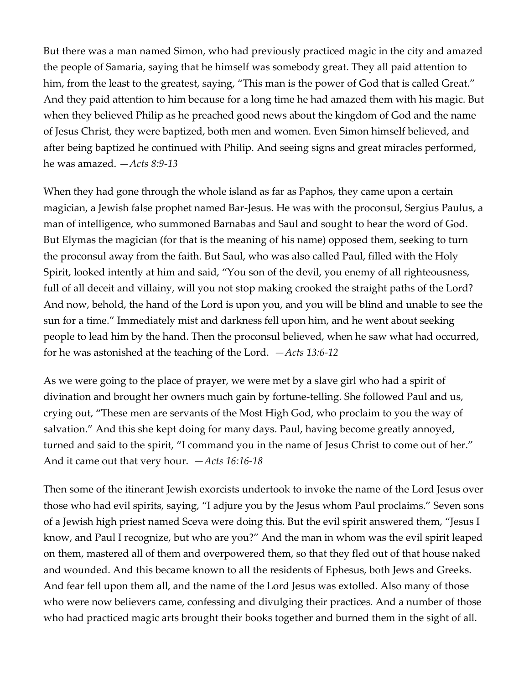But there was a man named Simon, who had previously practiced magic in the city and amazed the people of Samaria, saying that he himself was somebody great. They all paid attention to him, from the least to the greatest, saying, "This man is the power of God that is called Great." And they paid attention to him because for a long time he had amazed them with his magic. But when they believed Philip as he preached good news about the kingdom of God and the name of Jesus Christ, they were baptized, both men and women. Even Simon himself believed, and after being baptized he continued with Philip. And seeing signs and great miracles performed, he was amazed. *—Acts 8:9-13*

When they had gone through the whole island as far as Paphos, they came upon a certain magician, a Jewish false prophet named Bar-Jesus. He was with the proconsul, Sergius Paulus, a man of intelligence, who summoned Barnabas and Saul and sought to hear the word of God. But Elymas the magician (for that is the meaning of his name) opposed them, seeking to turn the proconsul away from the faith. But Saul, who was also called Paul, filled with the Holy Spirit, looked intently at him and said, "You son of the devil, you enemy of all righteousness, full of all deceit and villainy, will you not stop making crooked the straight paths of the Lord? And now, behold, the hand of the Lord is upon you, and you will be blind and unable to see the sun for a time." Immediately mist and darkness fell upon him, and he went about seeking people to lead him by the hand. Then the proconsul believed, when he saw what had occurred, for he was astonished at the teaching of the Lord. *—Acts 13:6-12*

As we were going to the place of prayer, we were met by a slave girl who had a spirit of divination and brought her owners much gain by fortune-telling. She followed Paul and us, crying out, "These men are servants of the Most High God, who proclaim to you the way of salvation." And this she kept doing for many days. Paul, having become greatly annoyed, turned and said to the spirit, "I command you in the name of Jesus Christ to come out of her." And it came out that very hour. *—Acts 16:16-18*

Then some of the itinerant Jewish exorcists undertook to invoke the name of the Lord Jesus over those who had evil spirits, saying, "I adjure you by the Jesus whom Paul proclaims." Seven sons of a Jewish high priest named Sceva were doing this. But the evil spirit answered them, "Jesus I know, and Paul I recognize, but who are you?" And the man in whom was the evil spirit leaped on them, mastered all of them and overpowered them, so that they fled out of that house naked and wounded. And this became known to all the residents of Ephesus, both Jews and Greeks. And fear fell upon them all, and the name of the Lord Jesus was extolled. Also many of those who were now believers came, confessing and divulging their practices. And a number of those who had practiced magic arts brought their books together and burned them in the sight of all.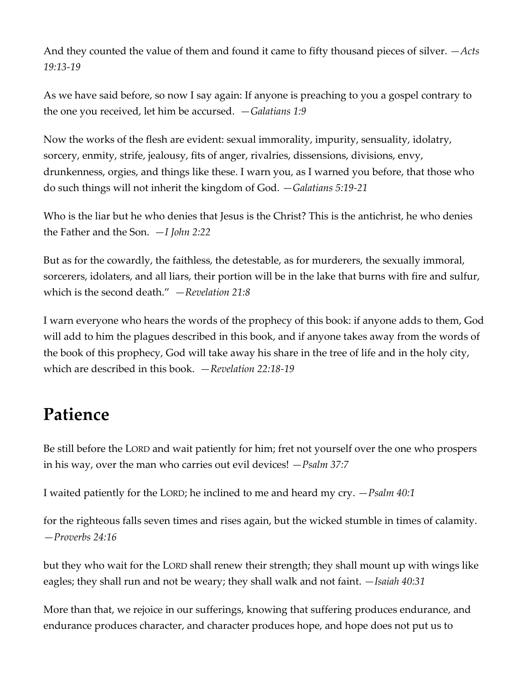And they counted the value of them and found it came to fifty thousand pieces of silver. *—Acts 19:13-19*

As we have said before, so now I say again: If anyone is preaching to you a gospel contrary to the one you received, let him be accursed. *—Galatians 1:9*

Now the works of the flesh are evident: sexual immorality, impurity, sensuality, idolatry, sorcery, enmity, strife, jealousy, fits of anger, rivalries, dissensions, divisions, envy, drunkenness, orgies, and things like these. I warn you, as I warned you before, that those who do such things will not inherit the kingdom of God. *—Galatians 5:19-21*

Who is the liar but he who denies that Jesus is the Christ? This is the antichrist, he who denies the Father and the Son. *—I John 2:22*

But as for the cowardly, the faithless, the detestable, as for murderers, the sexually immoral, sorcerers, idolaters, and all liars, their portion will be in the lake that burns with fire and sulfur, which is the second death." *—Revelation 21:8*

I warn everyone who hears the words of the prophecy of this book: if anyone adds to them, God will add to him the plagues described in this book, and if anyone takes away from the words of the book of this prophecy, God will take away his share in the tree of life and in the holy city, which are described in this book. *—Revelation 22:18-19*

# **Patience**

Be still before the LORD and wait patiently for him; fret not yourself over the one who prospers in his way, over the man who carries out evil devices! *—Psalm 37:7*

I waited patiently for the LORD; he inclined to me and heard my cry. *—Psalm 40:1*

for the righteous falls seven times and rises again, but the wicked stumble in times of calamity. *—Proverbs 24:16*

but they who wait for the LORD shall renew their strength; they shall mount up with wings like eagles; they shall run and not be weary; they shall walk and not faint. *—Isaiah 40:31*

More than that, we rejoice in our sufferings, knowing that suffering produces endurance, and endurance produces character, and character produces hope, and hope does not put us to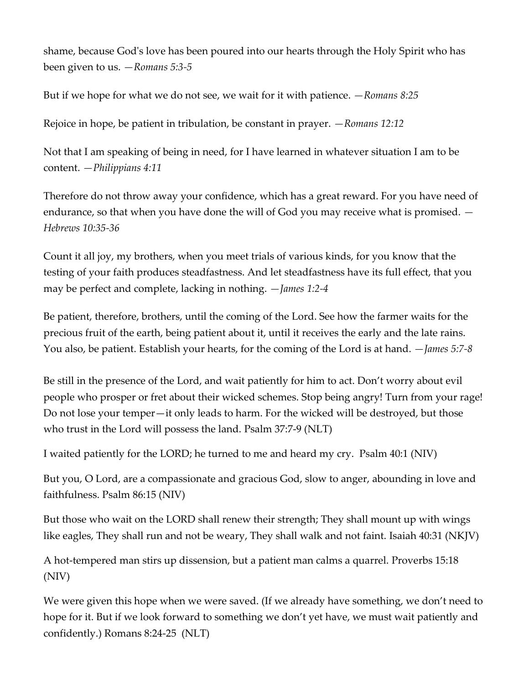shame, because God's love has been poured into our hearts through the Holy Spirit who has been given to us. *—Romans 5:3-5*

But if we hope for what we do not see, we wait for it with patience. *—Romans 8:25*

Rejoice in hope, be patient in tribulation, be constant in prayer. *—Romans 12:12*

Not that I am speaking of being in need, for I have learned in whatever situation I am to be content. *—Philippians 4:11*

Therefore do not throw away your confidence, which has a great reward. For you have need of endurance, so that when you have done the will of God you may receive what is promised. *— Hebrews 10:35-36*

Count it all joy, my brothers, when you meet trials of various kinds, for you know that the testing of your faith produces steadfastness. And let steadfastness have its full effect, that you may be perfect and complete, lacking in nothing. *—James 1:2-4*

Be patient, therefore, brothers, until the coming of the Lord. See how the farmer waits for the precious fruit of the earth, being patient about it, until it receives the early and the late rains. You also, be patient. Establish your hearts, for the coming of the Lord is at hand. *—James 5:7-8*

Be still in the presence of the Lord, and wait patiently for him to act. Don't worry about evil people who prosper or fret about their wicked schemes. Stop being angry! Turn from your rage! Do not lose your temper—it only leads to harm. For the wicked will be destroyed, but those who trust in the Lord will possess the land. Psalm 37:7-9 (NLT)

I waited patiently for the LORD; he turned to me and heard my cry. Psalm 40:1 (NIV)

But you, O Lord, are a compassionate and gracious God, slow to anger, abounding in love and faithfulness. Psalm 86:15 (NIV)

But those who wait on the LORD shall renew their strength; They shall mount up with wings like eagles, They shall run and not be weary, They shall walk and not faint. Isaiah 40:31 (NKJV)

A hot-tempered man stirs up dissension, but a patient man calms a quarrel. Proverbs 15:18 (NIV)

We were given this hope when we were saved. (If we already have something, we don't need to hope for it. But if we look forward to something we don't yet have, we must wait patiently and confidently.) Romans 8:24-25 (NLT)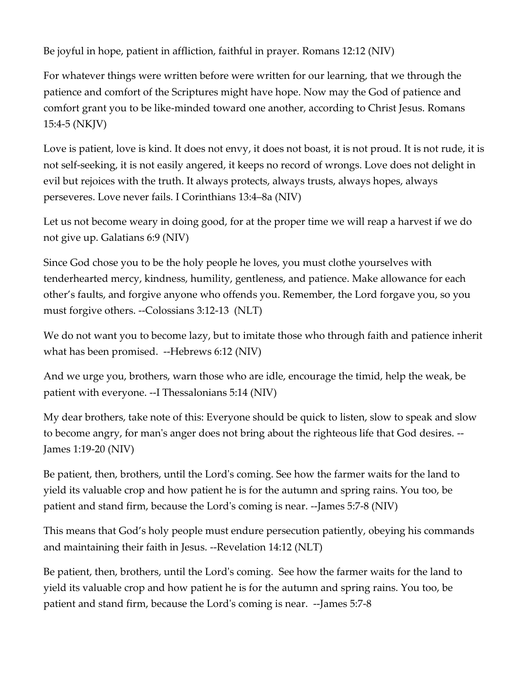Be joyful in hope, patient in affliction, faithful in prayer. Romans 12:12 (NIV)

For whatever things were written before were written for our learning, that we through the patience and comfort of the Scriptures might have hope. Now may the God of patience and comfort grant you to be like-minded toward one another, according to Christ Jesus. Romans 15:4-5 (NKJV)

Love is patient, love is kind. It does not envy, it does not boast, it is not proud. It is not rude, it is not self-seeking, it is not easily angered, it keeps no record of wrongs. Love does not delight in evil but rejoices with the truth. It always protects, always trusts, always hopes, always perseveres. Love never fails. I Corinthians 13:4–8a (NIV)

Let us not become weary in doing good, for at the proper time we will reap a harvest if we do not give up. Galatians 6:9 (NIV)

Since God chose you to be the holy people he loves, you must clothe yourselves with tenderhearted mercy, kindness, humility, gentleness, and patience. Make allowance for each other's faults, and forgive anyone who offends you. Remember, the Lord forgave you, so you must forgive others. --Colossians 3:12-13 (NLT)

We do not want you to become lazy, but to imitate those who through faith and patience inherit what has been promised. --Hebrews 6:12 (NIV)

And we urge you, brothers, warn those who are idle, encourage the timid, help the weak, be patient with everyone. --I Thessalonians 5:14 (NIV)

My dear brothers, take note of this: Everyone should be quick to listen, slow to speak and slow to become angry, for man's anger does not bring about the righteous life that God desires. -- James 1:19-20 (NIV)

Be patient, then, brothers, until the Lord's coming. See how the farmer waits for the land to yield its valuable crop and how patient he is for the autumn and spring rains. You too, be patient and stand firm, because the Lord's coming is near. --James 5:7-8 (NIV)

This means that God's holy people must endure persecution patiently, obeying his commands and maintaining their faith in Jesus. --Revelation 14:12 (NLT)

Be patient, then, brothers, until the Lord's coming. See how the farmer waits for the land to yield its valuable crop and how patient he is for the autumn and spring rains. You too, be patient and stand firm, because the Lord's coming is near. --James 5:7-8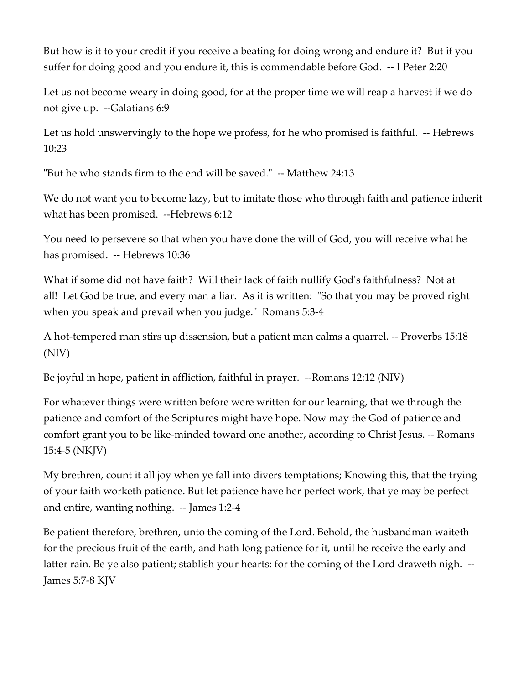But how is it to your credit if you receive a beating for doing wrong and endure it? But if you suffer for doing good and you endure it, this is commendable before God. -- I Peter 2:20

Let us not become weary in doing good, for at the proper time we will reap a harvest if we do not give up. --Galatians 6:9

Let us hold unswervingly to the hope we profess, for he who promised is faithful. -- Hebrews 10:23

"But he who stands firm to the end will be saved." -- Matthew 24:13

We do not want you to become lazy, but to imitate those who through faith and patience inherit what has been promised. --Hebrews 6:12

You need to persevere so that when you have done the will of God, you will receive what he has promised. -- Hebrews 10:36

What if some did not have faith? Will their lack of faith nullify God's faithfulness? Not at all! Let God be true, and every man a liar. As it is written: "So that you may be proved right when you speak and prevail when you judge." Romans 5:3-4

A hot-tempered man stirs up dissension, but a patient man calms a quarrel. -- Proverbs 15:18 (NIV)

Be joyful in hope, patient in affliction, faithful in prayer. --Romans 12:12 (NIV)

For whatever things were written before were written for our learning, that we through the patience and comfort of the Scriptures might have hope. Now may the God of patience and comfort grant you to be like-minded toward one another, according to Christ Jesus. -- Romans 15:4-5 (NKJV)

My brethren, count it all joy when ye fall into divers temptations; Knowing this, that the trying of your faith worketh patience. But let patience have her perfect work, that ye may be perfect and entire, wanting nothing. -- James 1:2-4

Be patient therefore, brethren, unto the coming of the Lord. Behold, the husbandman waiteth for the precious fruit of the earth, and hath long patience for it, until he receive the early and latter rain. Be ye also patient; stablish your hearts: for the coming of the Lord draweth nigh. --James 5:7-8 KJV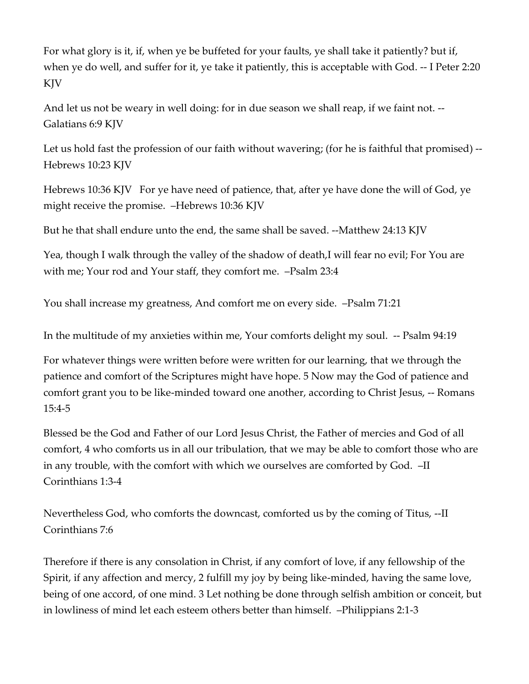For what glory is it, if, when ye be buffeted for your faults, ye shall take it patiently? but if, when ye do well, and suffer for it, ye take it patiently, this is acceptable with God. -- I Peter 2:20 KJV

And let us not be weary in well doing: for in due season we shall reap, if we faint not. -- Galatians 6:9 KJV

Let us hold fast the profession of our faith without wavering; (for he is faithful that promised) --Hebrews 10:23 KJV

Hebrews 10:36 KJV For ye have need of patience, that, after ye have done the will of God, ye might receive the promise. –Hebrews 10:36 KJV

But he that shall endure unto the end, the same shall be saved. --Matthew 24:13 KJV

Yea, though I walk through the valley of the shadow of death,I will fear no evil; For You are with me; Your rod and Your staff, they comfort me. –Psalm 23:4

You shall increase my greatness, And comfort me on every side. –Psalm 71:21

In the multitude of my anxieties within me, Your comforts delight my soul. -- Psalm 94:19

For whatever things were written before were written for our learning, that we through the patience and comfort of the Scriptures might have hope. 5 Now may the God of patience and comfort grant you to be like-minded toward one another, according to Christ Jesus, -- Romans 15:4-5

Blessed be the God and Father of our Lord Jesus Christ, the Father of mercies and God of all comfort, 4 who comforts us in all our tribulation, that we may be able to comfort those who are in any trouble, with the comfort with which we ourselves are comforted by God. –II Corinthians 1:3-4

Nevertheless God, who comforts the downcast, comforted us by the coming of Titus, --II Corinthians 7:6

Therefore if there is any consolation in Christ, if any comfort of love, if any fellowship of the Spirit, if any affection and mercy, 2 fulfill my joy by being like-minded, having the same love, being of one accord, of one mind. 3 Let nothing be done through selfish ambition or conceit, but in lowliness of mind let each esteem others better than himself. –Philippians 2:1-3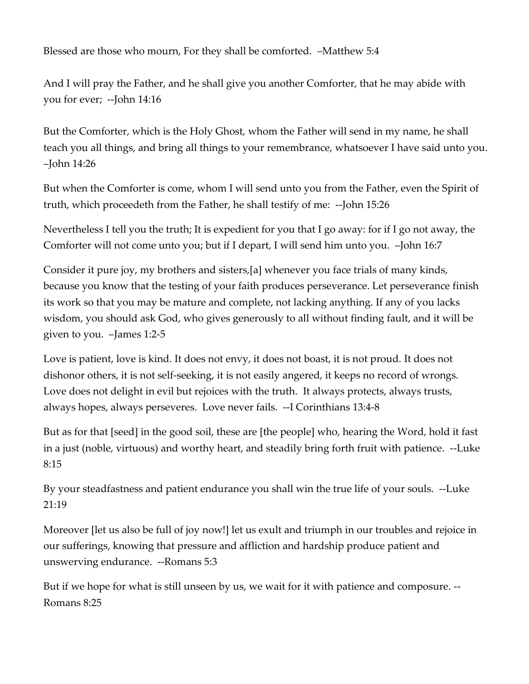Blessed are those who mourn, For they shall be comforted. –Matthew 5:4

And I will pray the Father, and he shall give you another Comforter, that he may abide with you for ever; --John 14:16

But the Comforter, which is the Holy Ghost, whom the Father will send in my name, he shall teach you all things, and bring all things to your remembrance, whatsoever I have said unto you. –John 14:26

But when the Comforter is come, whom I will send unto you from the Father, even the Spirit of truth, which proceedeth from the Father, he shall testify of me: --John 15:26

Nevertheless I tell you the truth; It is expedient for you that I go away: for if I go not away, the Comforter will not come unto you; but if I depart, I will send him unto you. –John 16:7

Consider it pure joy, my brothers and sisters,[a] whenever you face trials of many kinds, because you know that the testing of your faith produces perseverance. Let perseverance finish its work so that you may be mature and complete, not lacking anything. If any of you lacks wisdom, you should ask God, who gives generously to all without finding fault, and it will be given to you. –James 1:2-5

Love is patient, love is kind. It does not envy, it does not boast, it is not proud. It does not dishonor others, it is not self-seeking, it is not easily angered, it keeps no record of wrongs. Love does not delight in evil but rejoices with the truth. It always protects, always trusts, always hopes, always perseveres. Love never fails. --I Corinthians 13:4-8

But as for that [seed] in the good soil, these are [the people] who, hearing the Word, hold it fast in a just (noble, virtuous) and worthy heart, and steadily bring forth fruit with patience. --Luke 8:15

By your steadfastness and patient endurance you shall win the true life of your souls. --Luke 21:19

Moreover [let us also be full of joy now!] let us exult and triumph in our troubles and rejoice in our sufferings, knowing that pressure and affliction and hardship produce patient and unswerving endurance. --Romans 5:3

But if we hope for what is still unseen by us, we wait for it with patience and composure. --Romans 8:25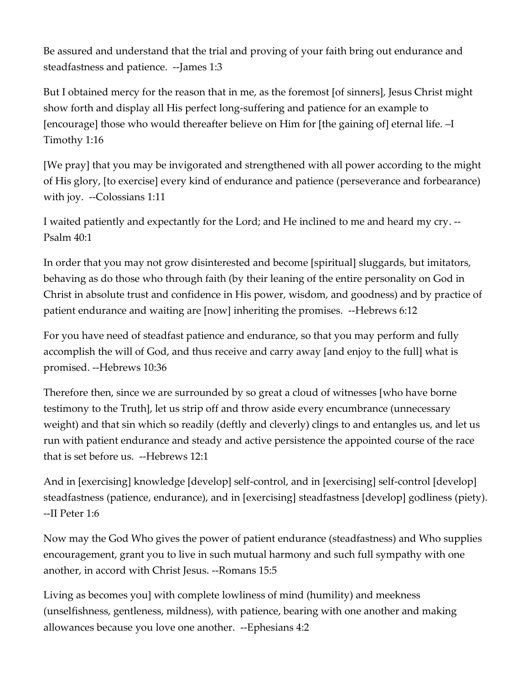Be assured and understand that the trial and proving of your faith bring out endurance and steadfastness and patience. --James 1:3

But I obtained mercy for the reason that in me, as the foremost [of sinners], Jesus Christ might show forth and display all His perfect long-suffering and patience for an example to [encourage] those who would thereafter believe on Him for [the gaining of] eternal life. –I Timothy 1:16

[We pray] that you may be invigorated and strengthened with all power according to the might of His glory, [to exercise] every kind of endurance and patience (perseverance and forbearance) with joy. --Colossians 1:11

I waited patiently and expectantly for the Lord; and He inclined to me and heard my cry. -- Psalm 40:1

In order that you may not grow disinterested and become [spiritual] sluggards, but imitators, behaving as do those who through faith (by their leaning of the entire personality on God in Christ in absolute trust and confidence in His power, wisdom, and goodness) and by practice of patient endurance and waiting are [now] inheriting the promises. --Hebrews 6:12

For you have need of steadfast patience and endurance, so that you may perform and fully accomplish the will of God, and thus receive and carry away [and enjoy to the full] what is promised. --Hebrews 10:36

Therefore then, since we are surrounded by so great a cloud of witnesses [who have borne testimony to the Truth], let us strip off and throw aside every encumbrance (unnecessary weight) and that sin which so readily (deftly and cleverly) clings to and entangles us, and let us run with patient endurance and steady and active persistence the appointed course of the race that is set before us. --Hebrews 12:1

And in [exercising] knowledge [develop] self-control, and in [exercising] self-control [develop] steadfastness (patience, endurance), and in [exercising] steadfastness [develop] godliness (piety). --II Peter 1:6

Now may the God Who gives the power of patient endurance (steadfastness) and Who supplies encouragement, grant you to live in such mutual harmony and such full sympathy with one another, in accord with Christ Jesus. --Romans 15:5

Living as becomes you] with complete lowliness of mind (humility) and meekness (unselfishness, gentleness, mildness), with patience, bearing with one another and making allowances because you love one another. --Ephesians 4:2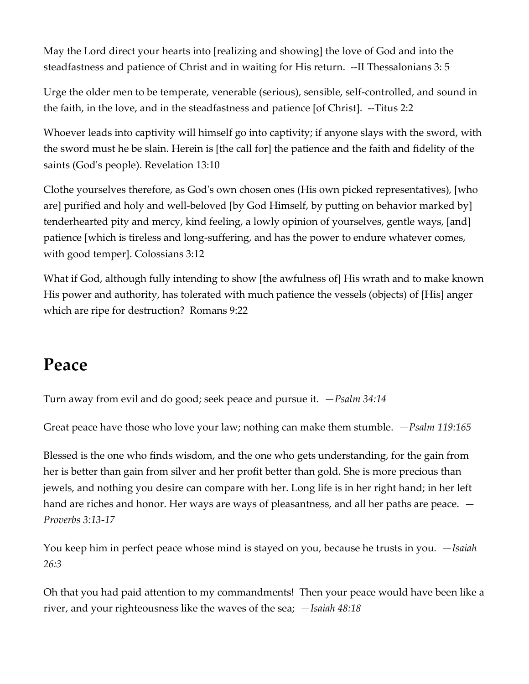May the Lord direct your hearts into [realizing and showing] the love of God and into the steadfastness and patience of Christ and in waiting for His return. --II Thessalonians 3: 5

Urge the older men to be temperate, venerable (serious), sensible, self-controlled, and sound in the faith, in the love, and in the steadfastness and patience [of Christ]. --Titus 2:2

Whoever leads into captivity will himself go into captivity; if anyone slays with the sword, with the sword must he be slain. Herein is [the call for] the patience and the faith and fidelity of the saints (God's people). Revelation 13:10

Clothe yourselves therefore, as God's own chosen ones (His own picked representatives), [who are] purified and holy and well-beloved [by God Himself, by putting on behavior marked by] tenderhearted pity and mercy, kind feeling, a lowly opinion of yourselves, gentle ways, [and] patience [which is tireless and long-suffering, and has the power to endure whatever comes, with good temper]. Colossians 3:12

What if God, although fully intending to show [the awfulness of] His wrath and to make known His power and authority, has tolerated with much patience the vessels (objects) of [His] anger which are ripe for destruction? Romans 9:22

#### **Peace**

Turn away from evil and do good; seek peace and pursue it. *—Psalm 34:14*

Great peace have those who love your law; nothing can make them stumble. *—Psalm 119:165*

Blessed is the one who finds wisdom, and the one who gets understanding, for the gain from her is better than gain from silver and her profit better than gold. She is more precious than jewels, and nothing you desire can compare with her. Long life is in her right hand; in her left hand are riches and honor. Her ways are ways of pleasantness, and all her paths are peace. *— Proverbs 3:13-17*

You keep him in perfect peace whose mind is stayed on you, because he trusts in you. *—Isaiah 26:3*

Oh that you had paid attention to my commandments! Then your peace would have been like a river, and your righteousness like the waves of the sea; *—Isaiah 48:18*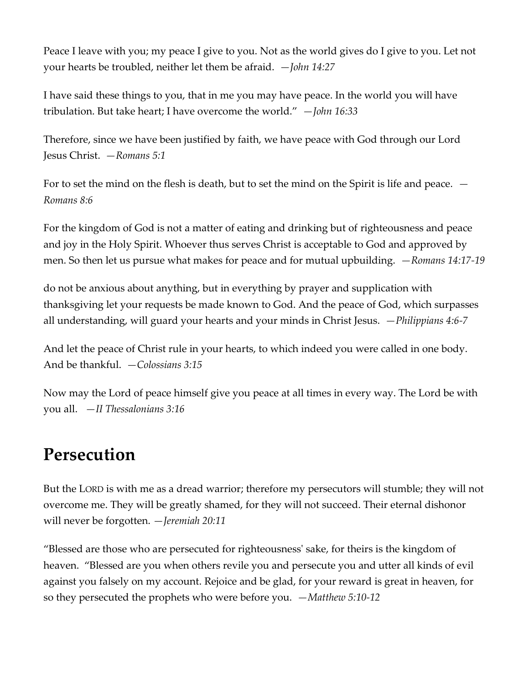Peace I leave with you; my peace I give to you. Not as the world gives do I give to you. Let not your hearts be troubled, neither let them be afraid. *—John 14:27*

I have said these things to you, that in me you may have peace. In the world you will have tribulation. But take heart; I have overcome the world." *—John 16:33*

Therefore, since we have been justified by faith, we have peace with God through our Lord Jesus Christ. *—Romans 5:1*

For to set the mind on the flesh is death, but to set the mind on the Spirit is life and peace. *— Romans 8:6*

For the kingdom of God is not a matter of eating and drinking but of righteousness and peace and joy in the Holy Spirit. Whoever thus serves Christ is acceptable to God and approved by men. So then let us pursue what makes for peace and for mutual upbuilding. *—Romans 14:17-19*

do not be anxious about anything, but in everything by prayer and supplication with thanksgiving let your requests be made known to God. And the peace of God, which surpasses all understanding, will guard your hearts and your minds in Christ Jesus. *—Philippians 4:6-7*

And let the peace of Christ rule in your hearts, to which indeed you were called in one body. And be thankful. *—Colossians 3:15*

Now may the Lord of peace himself give you peace at all times in every way. The Lord be with you all. *—II Thessalonians 3:16*

## **Persecution**

But the LORD is with me as a dread warrior; therefore my persecutors will stumble; they will not overcome me. They will be greatly shamed, for they will not succeed. Their eternal dishonor will never be forgotten. *—Jeremiah 20:11*

"Blessed are those who are persecuted for righteousness' sake, for theirs is the kingdom of heaven. "Blessed are you when others revile you and persecute you and utter all kinds of evil against you falsely on my account. Rejoice and be glad, for your reward is great in heaven, for so they persecuted the prophets who were before you. *—Matthew 5:10-12*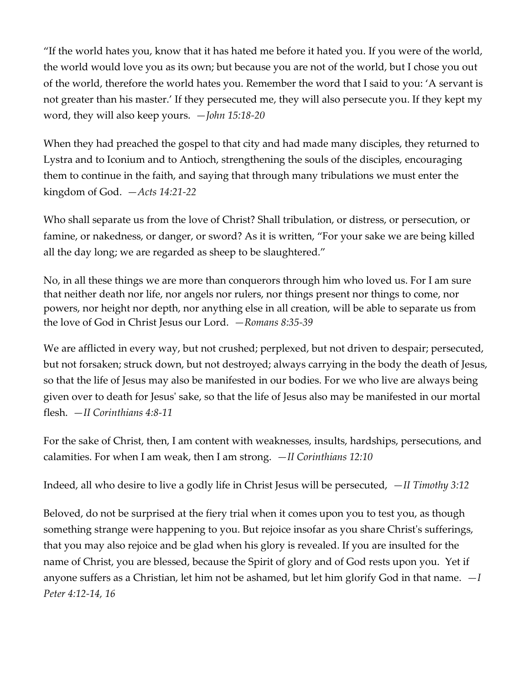"If the world hates you, know that it has hated me before it hated you. If you were of the world, the world would love you as its own; but because you are not of the world, but I chose you out of the world, therefore the world hates you. Remember the word that I said to you: 'A servant is not greater than his master.' If they persecuted me, they will also persecute you. If they kept my word, they will also keep yours. *—John 15:18-20*

When they had preached the gospel to that city and had made many disciples, they returned to Lystra and to Iconium and to Antioch, strengthening the souls of the disciples, encouraging them to continue in the faith, and saying that through many tribulations we must enter the kingdom of God. *—Acts 14:21-22*

Who shall separate us from the love of Christ? Shall tribulation, or distress, or persecution, or famine, or nakedness, or danger, or sword? As it is written, "For your sake we are being killed all the day long; we are regarded as sheep to be slaughtered."

No, in all these things we are more than conquerors through him who loved us. For I am sure that neither death nor life, nor angels nor rulers, nor things present nor things to come, nor powers, nor height nor depth, nor anything else in all creation, will be able to separate us from the love of God in Christ Jesus our Lord. *—Romans 8:35-39*

We are afflicted in every way, but not crushed; perplexed, but not driven to despair; persecuted, but not forsaken; struck down, but not destroyed; always carrying in the body the death of Jesus, so that the life of Jesus may also be manifested in our bodies. For we who live are always being given over to death for Jesus' sake, so that the life of Jesus also may be manifested in our mortal flesh. *—II Corinthians 4:8-11*

For the sake of Christ, then, I am content with weaknesses, insults, hardships, persecutions, and calamities. For when I am weak, then I am strong. *—II Corinthians 12:10*

Indeed, all who desire to live a godly life in Christ Jesus will be persecuted, *—II Timothy 3:12*

Beloved, do not be surprised at the fiery trial when it comes upon you to test you, as though something strange were happening to you. But rejoice insofar as you share Christ's sufferings, that you may also rejoice and be glad when his glory is revealed. If you are insulted for the name of Christ, you are blessed, because the Spirit of glory and of God rests upon you. Yet if anyone suffers as a Christian, let him not be ashamed, but let him glorify God in that name. *—I Peter 4:12-14, 16*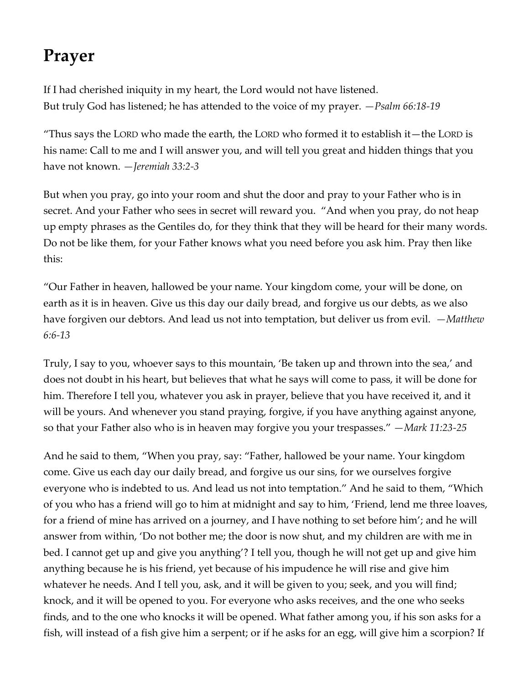## **Prayer**

If I had cherished iniquity in my heart, the Lord would not have listened. But truly God has listened; he has attended to the voice of my prayer. *—Psalm 66:18-19*

"Thus says the LORD who made the earth, the LORD who formed it to establish it—the LORD is his name: Call to me and I will answer you, and will tell you great and hidden things that you have not known. *—Jeremiah 33:2-3*

But when you pray, go into your room and shut the door and pray to your Father who is in secret. And your Father who sees in secret will reward you. "And when you pray, do not heap up empty phrases as the Gentiles do, for they think that they will be heard for their many words. Do not be like them, for your Father knows what you need before you ask him. Pray then like this:

"Our Father in heaven, hallowed be your name. Your kingdom come, your will be done, on earth as it is in heaven. Give us this day our daily bread, and forgive us our debts, as we also have forgiven our debtors. And lead us not into temptation, but deliver us from evil. *—Matthew 6:6-13*

Truly, I say to you, whoever says to this mountain, 'Be taken up and thrown into the sea,' and does not doubt in his heart, but believes that what he says will come to pass, it will be done for him. Therefore I tell you, whatever you ask in prayer, believe that you have received it, and it will be yours. And whenever you stand praying, forgive, if you have anything against anyone, so that your Father also who is in heaven may forgive you your trespasses." *—Mark 11:23-25*

And he said to them, "When you pray, say: "Father, hallowed be your name. Your kingdom come. Give us each day our daily bread, and forgive us our sins, for we ourselves forgive everyone who is indebted to us. And lead us not into temptation." And he said to them, "Which of you who has a friend will go to him at midnight and say to him, 'Friend, lend me three loaves, for a friend of mine has arrived on a journey, and I have nothing to set before him'; and he will answer from within, 'Do not bother me; the door is now shut, and my children are with me in bed. I cannot get up and give you anything'? I tell you, though he will not get up and give him anything because he is his friend, yet because of his impudence he will rise and give him whatever he needs. And I tell you, ask, and it will be given to you; seek, and you will find; knock, and it will be opened to you. For everyone who asks receives, and the one who seeks finds, and to the one who knocks it will be opened. What father among you, if his son asks for a fish, will instead of a fish give him a serpent; or if he asks for an egg, will give him a scorpion? If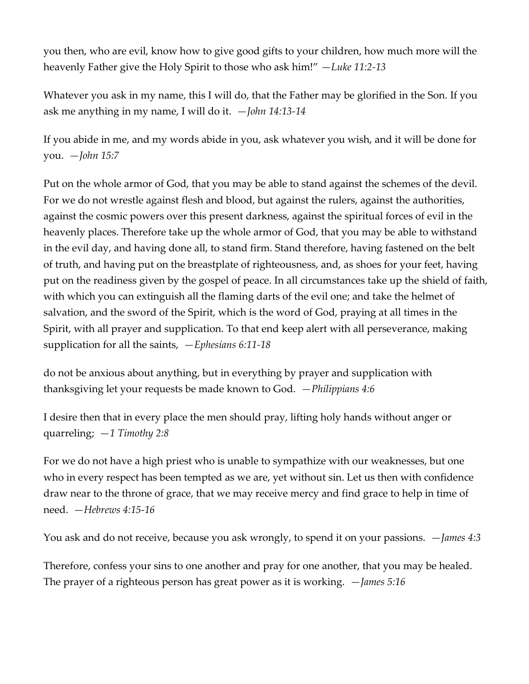you then, who are evil, know how to give good gifts to your children, how much more will the heavenly Father give the Holy Spirit to those who ask him!" *—Luke 11:2-13*

Whatever you ask in my name, this I will do, that the Father may be glorified in the Son. If you ask me anything in my name, I will do it. *—John 14:13-14*

If you abide in me, and my words abide in you, ask whatever you wish, and it will be done for you. *—John 15:7*

Put on the whole armor of God, that you may be able to stand against the schemes of the devil. For we do not wrestle against flesh and blood, but against the rulers, against the authorities, against the cosmic powers over this present darkness, against the spiritual forces of evil in the heavenly places. Therefore take up the whole armor of God, that you may be able to withstand in the evil day, and having done all, to stand firm. Stand therefore, having fastened on the belt of truth, and having put on the breastplate of righteousness, and, as shoes for your feet, having put on the readiness given by the gospel of peace. In all circumstances take up the shield of faith, with which you can extinguish all the flaming darts of the evil one; and take the helmet of salvation, and the sword of the Spirit, which is the word of God, praying at all times in the Spirit, with all prayer and supplication. To that end keep alert with all perseverance, making supplication for all the saints, *—Ephesians 6:11-18*

do not be anxious about anything, but in everything by prayer and supplication with thanksgiving let your requests be made known to God. *—Philippians 4:6*

I desire then that in every place the men should pray, lifting holy hands without anger or quarreling; *—1 Timothy 2:8* 

For we do not have a high priest who is unable to sympathize with our weaknesses, but one who in every respect has been tempted as we are, yet without sin. Let us then with confidence draw near to the throne of grace, that we may receive mercy and find grace to help in time of need. *—Hebrews 4:15-16*

You ask and do not receive, because you ask wrongly, to spend it on your passions. *—James 4:3*

Therefore, confess your sins to one another and pray for one another, that you may be healed. The prayer of a righteous person has great power as it is working. *—James 5:16*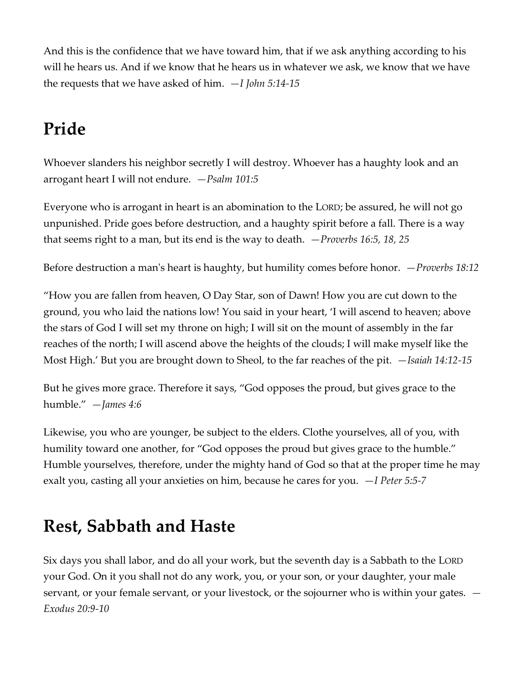And this is the confidence that we have toward him, that if we ask anything according to his will he hears us. And if we know that he hears us in whatever we ask, we know that we have the requests that we have asked of him. *—I John 5:14-15*

# **Pride**

Whoever slanders his neighbor secretly I will destroy. Whoever has a haughty look and an arrogant heart I will not endure. *—Psalm 101:5*

Everyone who is arrogant in heart is an abomination to the LORD; be assured, he will not go unpunished. Pride goes before destruction, and a haughty spirit before a fall. There is a way that seems right to a man, but its end is the way to death. *—Proverbs 16:5, 18, 25*

Before destruction a man's heart is haughty, but humility comes before honor. *—Proverbs 18:12*

"How you are fallen from heaven, O Day Star, son of Dawn! How you are cut down to the ground, you who laid the nations low! You said in your heart, 'I will ascend to heaven; above the stars of God I will set my throne on high; I will sit on the mount of assembly in the far reaches of the north; I will ascend above the heights of the clouds; I will make myself like the Most High.' But you are brought down to Sheol, to the far reaches of the pit. *—Isaiah 14:12-15*

But he gives more grace. Therefore it says, "God opposes the proud, but gives grace to the humble." *—James 4:6*

Likewise, you who are younger, be subject to the elders. Clothe yourselves, all of you, with humility toward one another, for "God opposes the proud but gives grace to the humble." Humble yourselves, therefore, under the mighty hand of God so that at the proper time he may exalt you, casting all your anxieties on him, because he cares for you. *—I Peter 5:5-7* 

# **Rest, Sabbath and Haste**

Six days you shall labor, and do all your work, but the seventh day is a Sabbath to the LORD your God. On it you shall not do any work, you, or your son, or your daughter, your male servant, or your female servant, or your livestock, or the sojourner who is within your gates. *— Exodus 20:9-10*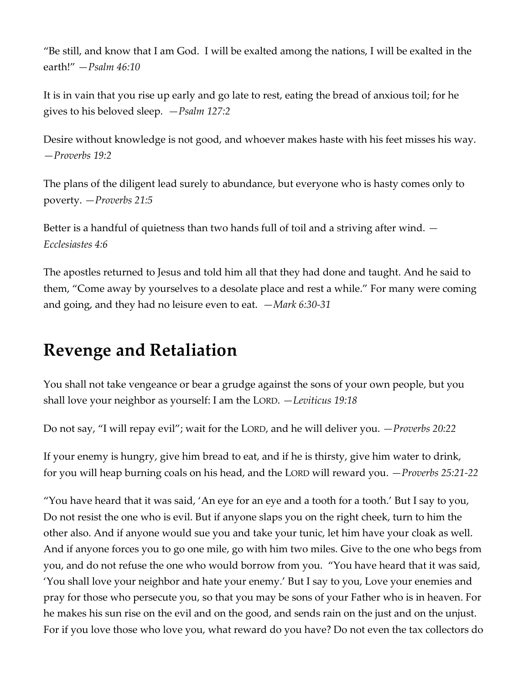"Be still, and know that I am God. I will be exalted among the nations, I will be exalted in the earth!" *—Psalm 46:10*

It is in vain that you rise up early and go late to rest, eating the bread of anxious toil; for he gives to his beloved sleep. *—Psalm 127:2*

Desire without knowledge is not good, and whoever makes haste with his feet misses his way. *—Proverbs 19:2*

The plans of the diligent lead surely to abundance, but everyone who is hasty comes only to poverty. *—Proverbs 21:5*

Better is a handful of quietness than two hands full of toil and a striving after wind. *— Ecclesiastes 4:6*

The apostles returned to Jesus and told him all that they had done and taught. And he said to them, "Come away by yourselves to a desolate place and rest a while." For many were coming and going, and they had no leisure even to eat. *—Mark 6:30-31* 

## **Revenge and Retaliation**

You shall not take vengeance or bear a grudge against the sons of your own people, but you shall love your neighbor as yourself: I am the LORD. *—Leviticus 19:18*

Do not say, "I will repay evil"; wait for the LORD, and he will deliver you. *—Proverbs 20:22*

If your enemy is hungry, give him bread to eat, and if he is thirsty, give him water to drink, for you will heap burning coals on his head, and the LORD will reward you. *—Proverbs 25:21-22*

"You have heard that it was said, 'An eye for an eye and a tooth for a tooth.' But I say to you, Do not resist the one who is evil. But if anyone slaps you on the right cheek, turn to him the other also. And if anyone would sue you and take your tunic, let him have your cloak as well. And if anyone forces you to go one mile, go with him two miles. Give to the one who begs from you, and do not refuse the one who would borrow from you. "You have heard that it was said, 'You shall love your neighbor and hate your enemy.' But I say to you, Love your enemies and pray for those who persecute you, so that you may be sons of your Father who is in heaven. For he makes his sun rise on the evil and on the good, and sends rain on the just and on the unjust. For if you love those who love you, what reward do you have? Do not even the tax collectors do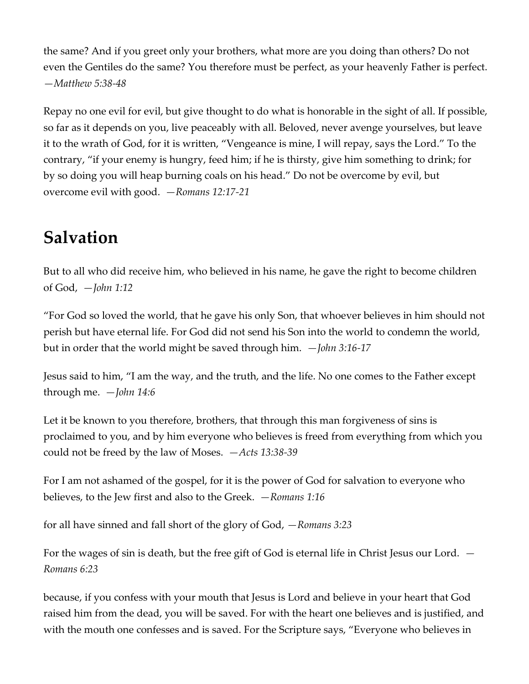the same? And if you greet only your brothers, what more are you doing than others? Do not even the Gentiles do the same? You therefore must be perfect, as your heavenly Father is perfect. *—Matthew 5:38-48*

Repay no one evil for evil, but give thought to do what is honorable in the sight of all. If possible, so far as it depends on you, live peaceably with all. Beloved, never avenge yourselves, but leave it to the wrath of God, for it is written, "Vengeance is mine, I will repay, says the Lord." To the contrary, "if your enemy is hungry, feed him; if he is thirsty, give him something to drink; for by so doing you will heap burning coals on his head." Do not be overcome by evil, but overcome evil with good. *—Romans 12:17-21*

# **Salvation**

But to all who did receive him, who believed in his name, he gave the right to become children of God, *—John 1:12*

"For God so loved the world, that he gave his only Son, that whoever believes in him should not perish but have eternal life. For God did not send his Son into the world to condemn the world, but in order that the world might be saved through him. *—John 3:16-17*

Jesus said to him, "I am the way, and the truth, and the life. No one comes to the Father except through me. *—John 14:6*

Let it be known to you therefore, brothers, that through this man forgiveness of sins is proclaimed to you, and by him everyone who believes is freed from everything from which you could not be freed by the law of Moses. *—Acts 13:38-39*

For I am not ashamed of the gospel, for it is the power of God for salvation to everyone who believes, to the Jew first and also to the Greek. *—Romans 1:16*

for all have sinned and fall short of the glory of God, *—Romans 3:23*

For the wages of sin is death, but the free gift of God is eternal life in Christ Jesus our Lord. *— Romans 6:23*

because, if you confess with your mouth that Jesus is Lord and believe in your heart that God raised him from the dead, you will be saved. For with the heart one believes and is justified, and with the mouth one confesses and is saved. For the Scripture says, "Everyone who believes in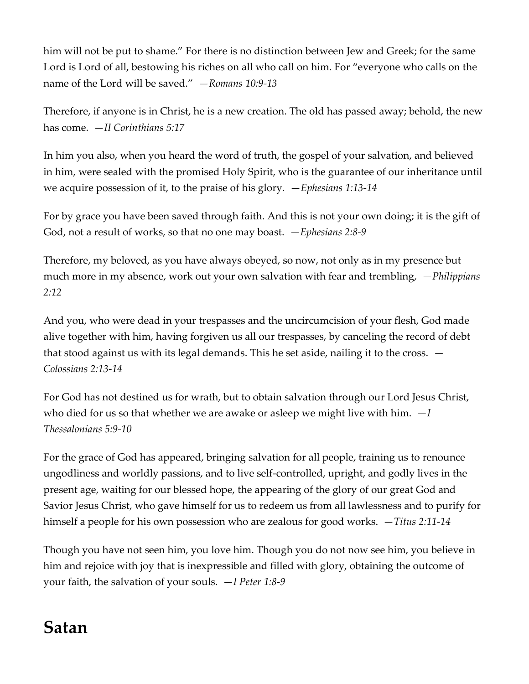him will not be put to shame." For there is no distinction between Jew and Greek; for the same Lord is Lord of all, bestowing his riches on all who call on him. For "everyone who calls on the name of the Lord will be saved." *—Romans 10:9-13*

Therefore, if anyone is in Christ, he is a new creation. The old has passed away; behold, the new has come. *—II Corinthians 5:17*

In him you also, when you heard the word of truth, the gospel of your salvation, and believed in him, were sealed with the promised Holy Spirit, who is the guarantee of our inheritance until we acquire possession of it, to the praise of his glory. *—Ephesians 1:13-14*

For by grace you have been saved through faith. And this is not your own doing; it is the gift of God, not a result of works, so that no one may boast. *—Ephesians 2:8-9*

Therefore, my beloved, as you have always obeyed, so now, not only as in my presence but much more in my absence, work out your own salvation with fear and trembling, *—Philippians 2:12*

And you, who were dead in your trespasses and the uncircumcision of your flesh, God made alive together with him, having forgiven us all our trespasses, by canceling the record of debt that stood against us with its legal demands. This he set aside, nailing it to the cross. *— Colossians 2:13-14*

For God has not destined us for wrath, but to obtain salvation through our Lord Jesus Christ, who died for us so that whether we are awake or asleep we might live with him. *—I Thessalonians 5:9-10*

For the grace of God has appeared, bringing salvation for all people, training us to renounce ungodliness and worldly passions, and to live self-controlled, upright, and godly lives in the present age, waiting for our blessed hope, the appearing of the glory of our great God and Savior Jesus Christ, who gave himself for us to redeem us from all lawlessness and to purify for himself a people for his own possession who are zealous for good works. *—Titus 2:11-14*

Though you have not seen him, you love him. Though you do not now see him, you believe in him and rejoice with joy that is inexpressible and filled with glory, obtaining the outcome of your faith, the salvation of your souls. *—I Peter 1:8-9*

#### **Satan**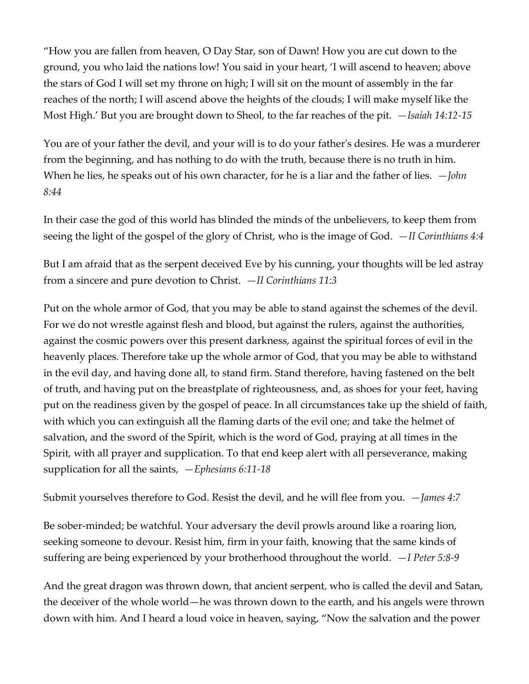"How you are fallen from heaven, O Day Star, son of Dawn! How you are cut down to the ground, you who laid the nations low! You said in your heart, 'I will ascend to heaven; above the stars of God I will set my throne on high; I will sit on the mount of assembly in the far reaches of the north; I will ascend above the heights of the clouds; I will make myself like the Most High.' But you are brought down to Sheol, to the far reaches of the pit. *—Isaiah 14:12-15*

You are of your father the devil, and your will is to do your father's desires. He was a murderer from the beginning, and has nothing to do with the truth, because there is no truth in him. When he lies, he speaks out of his own character, for he is a liar and the father of lies. *—John 8:44*

In their case the god of this world has blinded the minds of the unbelievers, to keep them from seeing the light of the gospel of the glory of Christ, who is the image of God. *—II Corinthians 4:4*

But I am afraid that as the serpent deceived Eve by his cunning, your thoughts will be led astray from a sincere and pure devotion to Christ. *—II Corinthians 11:3*

Put on the whole armor of God, that you may be able to stand against the schemes of the devil. For we do not wrestle against flesh and blood, but against the rulers, against the authorities, against the cosmic powers over this present darkness, against the spiritual forces of evil in the heavenly places. Therefore take up the whole armor of God, that you may be able to withstand in the evil day, and having done all, to stand firm. Stand therefore, having fastened on the belt of truth, and having put on the breastplate of righteousness, and, as shoes for your feet, having put on the readiness given by the gospel of peace. In all circumstances take up the shield of faith, with which you can extinguish all the flaming darts of the evil one; and take the helmet of salvation, and the sword of the Spirit, which is the word of God, praying at all times in the Spirit, with all prayer and supplication. To that end keep alert with all perseverance, making supplication for all the saints, *—Ephesians 6:11-18*

Submit yourselves therefore to God. Resist the devil, and he will flee from you. *—James 4:7*

Be sober-minded; be watchful. Your adversary the devil prowls around like a roaring lion, seeking someone to devour. Resist him, firm in your faith, knowing that the same kinds of suffering are being experienced by your brotherhood throughout the world. *—I Peter 5:8-9*

And the great dragon was thrown down, that ancient serpent, who is called the devil and Satan, the deceiver of the whole world—he was thrown down to the earth, and his angels were thrown down with him. And I heard a loud voice in heaven, saying, "Now the salvation and the power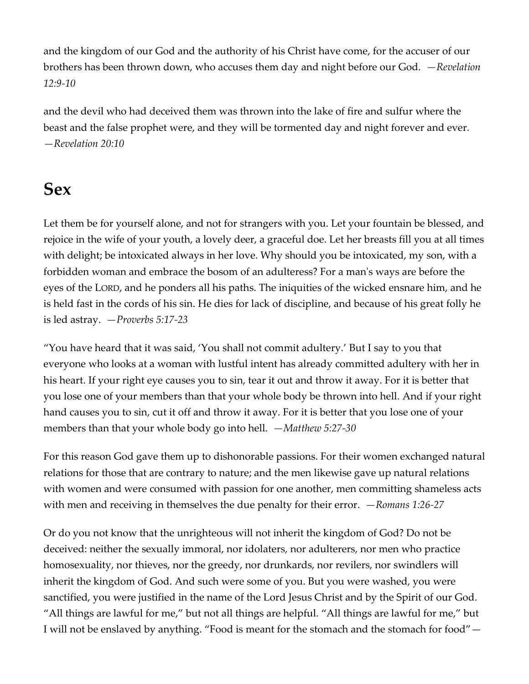and the kingdom of our God and the authority of his Christ have come, for the accuser of our brothers has been thrown down, who accuses them day and night before our God. *—Revelation 12:9-10*

and the devil who had deceived them was thrown into the lake of fire and sulfur where the beast and the false prophet were, and they will be tormented day and night forever and ever. *—Revelation 20:10*

#### **Sex**

Let them be for yourself alone, and not for strangers with you. Let your fountain be blessed, and rejoice in the wife of your youth, a lovely deer, a graceful doe. Let her breasts fill you at all times with delight; be intoxicated always in her love. Why should you be intoxicated, my son, with a forbidden woman and embrace the bosom of an adulteress? For a man's ways are before the eyes of the LORD, and he ponders all his paths. The iniquities of the wicked ensnare him, and he is held fast in the cords of his sin. He dies for lack of discipline, and because of his great folly he is led astray. *—Proverbs 5:17-23*

"You have heard that it was said, 'You shall not commit adultery.' But I say to you that everyone who looks at a woman with lustful intent has already committed adultery with her in his heart. If your right eye causes you to sin, tear it out and throw it away. For it is better that you lose one of your members than that your whole body be thrown into hell. And if your right hand causes you to sin, cut it off and throw it away. For it is better that you lose one of your members than that your whole body go into hell. *—Matthew 5:27-30*

For this reason God gave them up to dishonorable passions. For their women exchanged natural relations for those that are contrary to nature; and the men likewise gave up natural relations with women and were consumed with passion for one another, men committing shameless acts with men and receiving in themselves the due penalty for their error. *—Romans 1:26-27*

Or do you not know that the unrighteous will not inherit the kingdom of God? Do not be deceived: neither the sexually immoral, nor idolaters, nor adulterers, nor men who practice homosexuality, nor thieves, nor the greedy, nor drunkards, nor revilers, nor swindlers will inherit the kingdom of God. And such were some of you. But you were washed, you were sanctified, you were justified in the name of the Lord Jesus Christ and by the Spirit of our God. "All things are lawful for me," but not all things are helpful. "All things are lawful for me," but I will not be enslaved by anything. "Food is meant for the stomach and the stomach for food"—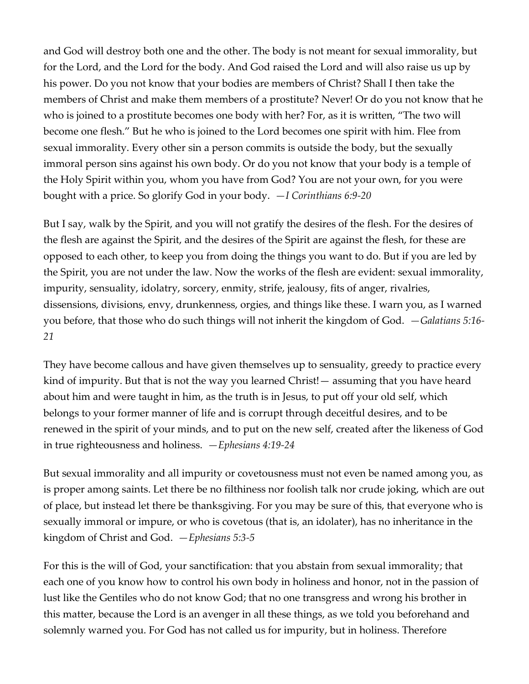and God will destroy both one and the other. The body is not meant for sexual immorality, but for the Lord, and the Lord for the body. And God raised the Lord and will also raise us up by his power. Do you not know that your bodies are members of Christ? Shall I then take the members of Christ and make them members of a prostitute? Never! Or do you not know that he who is joined to a prostitute becomes one body with her? For, as it is written, "The two will become one flesh." But he who is joined to the Lord becomes one spirit with him. Flee from sexual immorality. Every other sin a person commits is outside the body, but the sexually immoral person sins against his own body. Or do you not know that your body is a temple of the Holy Spirit within you, whom you have from God? You are not your own, for you were bought with a price. So glorify God in your body. *—I Corinthians 6:9-20* 

But I say, walk by the Spirit, and you will not gratify the desires of the flesh. For the desires of the flesh are against the Spirit, and the desires of the Spirit are against the flesh, for these are opposed to each other, to keep you from doing the things you want to do. But if you are led by the Spirit, you are not under the law. Now the works of the flesh are evident: sexual immorality, impurity, sensuality, idolatry, sorcery, enmity, strife, jealousy, fits of anger, rivalries, dissensions, divisions, envy, drunkenness, orgies, and things like these. I warn you, as I warned you before, that those who do such things will not inherit the kingdom of God. *—Galatians 5:16- 21*

They have become callous and have given themselves up to sensuality, greedy to practice every kind of impurity. But that is not the way you learned Christ!— assuming that you have heard about him and were taught in him, as the truth is in Jesus, to put off your old self, which belongs to your former manner of life and is corrupt through deceitful desires, and to be renewed in the spirit of your minds, and to put on the new self, created after the likeness of God in true righteousness and holiness. *—Ephesians 4:19-24*

But sexual immorality and all impurity or covetousness must not even be named among you, as is proper among saints. Let there be no filthiness nor foolish talk nor crude joking, which are out of place, but instead let there be thanksgiving. For you may be sure of this, that everyone who is sexually immoral or impure, or who is covetous (that is, an idolater), has no inheritance in the kingdom of Christ and God. *—Ephesians 5:3-5*

For this is the will of God, your sanctification: that you abstain from sexual immorality; that each one of you know how to control his own body in holiness and honor, not in the passion of lust like the Gentiles who do not know God; that no one transgress and wrong his brother in this matter, because the Lord is an avenger in all these things, as we told you beforehand and solemnly warned you. For God has not called us for impurity, but in holiness. Therefore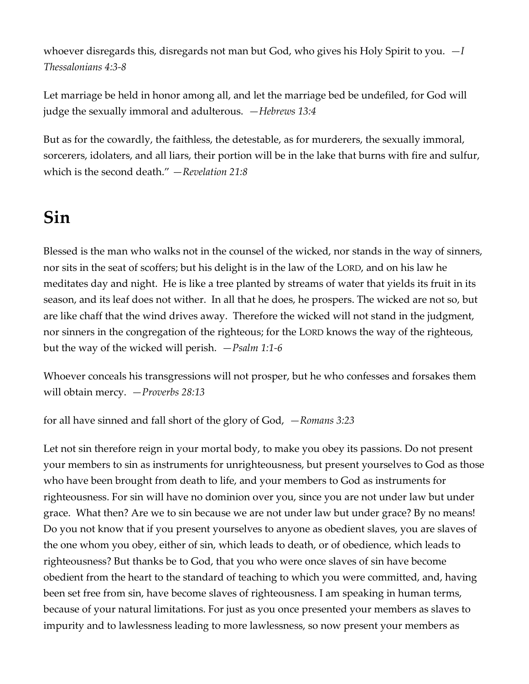whoever disregards this, disregards not man but God, who gives his Holy Spirit to you. *—I Thessalonians 4:3-8*

Let marriage be held in honor among all, and let the marriage bed be undefiled, for God will judge the sexually immoral and adulterous. *—Hebrews 13:4*

But as for the cowardly, the faithless, the detestable, as for murderers, the sexually immoral, sorcerers, idolaters, and all liars, their portion will be in the lake that burns with fire and sulfur, which is the second death." *—Revelation 21:8*

#### **Sin**

Blessed is the man who walks not in the counsel of the wicked, nor stands in the way of sinners, nor sits in the seat of scoffers; but his delight is in the law of the LORD, and on his law he meditates day and night. He is like a tree planted by streams of water that yields its fruit in its season, and its leaf does not wither. In all that he does, he prospers. The wicked are not so, but are like chaff that the wind drives away. Therefore the wicked will not stand in the judgment, nor sinners in the congregation of the righteous; for the LORD knows the way of the righteous, but the way of the wicked will perish. *—Psalm 1:1-6*

Whoever conceals his transgressions will not prosper, but he who confesses and forsakes them will obtain mercy. *—Proverbs 28:13*

for all have sinned and fall short of the glory of God, *—Romans 3:23*

Let not sin therefore reign in your mortal body, to make you obey its passions. Do not present your members to sin as instruments for unrighteousness, but present yourselves to God as those who have been brought from death to life, and your members to God as instruments for righteousness. For sin will have no dominion over you, since you are not under law but under grace. What then? Are we to sin because we are not under law but under grace? By no means! Do you not know that if you present yourselves to anyone as obedient slaves, you are slaves of the one whom you obey, either of sin, which leads to death, or of obedience, which leads to righteousness? But thanks be to God, that you who were once slaves of sin have become obedient from the heart to the standard of teaching to which you were committed, and, having been set free from sin, have become slaves of righteousness. I am speaking in human terms, because of your natural limitations. For just as you once presented your members as slaves to impurity and to lawlessness leading to more lawlessness, so now present your members as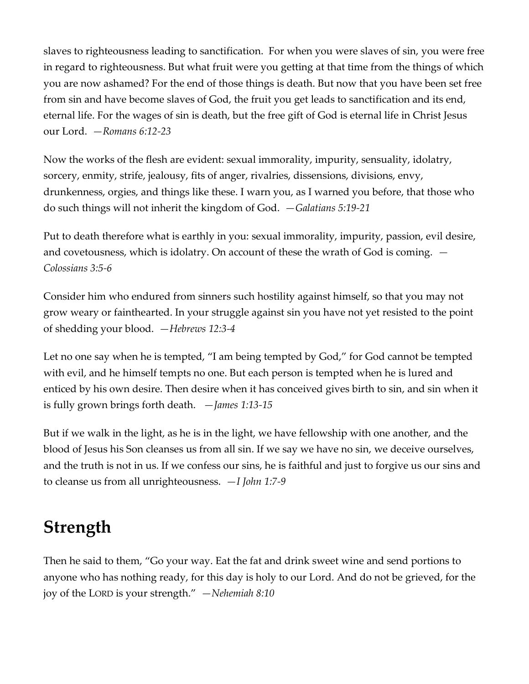slaves to righteousness leading to sanctification. For when you were slaves of sin, you were free in regard to righteousness. But what fruit were you getting at that time from the things of which you are now ashamed? For the end of those things is death. But now that you have been set free from sin and have become slaves of God, the fruit you get leads to sanctification and its end, eternal life. For the wages of sin is death, but the free gift of God is eternal life in Christ Jesus our Lord. *—Romans 6:12-23*

Now the works of the flesh are evident: sexual immorality, impurity, sensuality, idolatry, sorcery, enmity, strife, jealousy, fits of anger, rivalries, dissensions, divisions, envy, drunkenness, orgies, and things like these. I warn you, as I warned you before, that those who do such things will not inherit the kingdom of God. *—Galatians 5:19-21*

Put to death therefore what is earthly in you: sexual immorality, impurity, passion, evil desire, and covetousness, which is idolatry. On account of these the wrath of God is coming. *— Colossians 3:5-6*

Consider him who endured from sinners such hostility against himself, so that you may not grow weary or fainthearted. In your struggle against sin you have not yet resisted to the point of shedding your blood. *—Hebrews 12:3-4*

Let no one say when he is tempted, "I am being tempted by God," for God cannot be tempted with evil, and he himself tempts no one. But each person is tempted when he is lured and enticed by his own desire. Then desire when it has conceived gives birth to sin, and sin when it is fully grown brings forth death. *—James 1:13-15*

But if we walk in the light, as he is in the light, we have fellowship with one another, and the blood of Jesus his Son cleanses us from all sin. If we say we have no sin, we deceive ourselves, and the truth is not in us. If we confess our sins, he is faithful and just to forgive us our sins and to cleanse us from all unrighteousness. *—I John 1:7-9*

## **Strength**

Then he said to them, "Go your way. Eat the fat and drink sweet wine and send portions to anyone who has nothing ready, for this day is holy to our Lord. And do not be grieved, for the joy of the LORD is your strength." *—Nehemiah 8:10*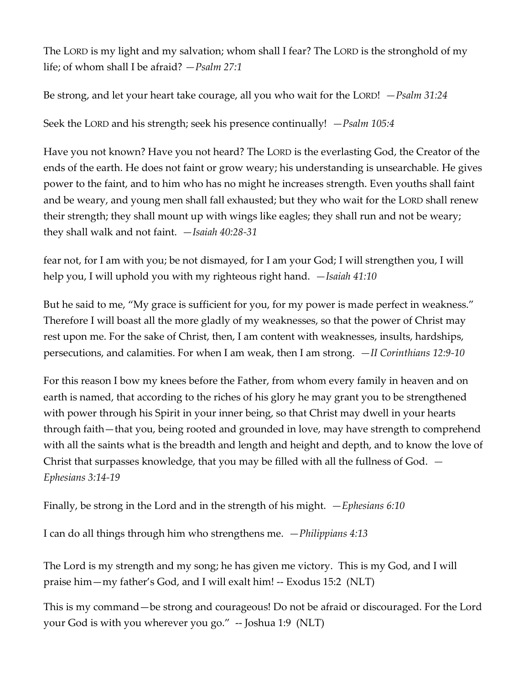The LORD is my light and my salvation; whom shall I fear? The LORD is the stronghold of my life; of whom shall I be afraid? *—Psalm 27:1*

Be strong, and let your heart take courage, all you who wait for the LORD! *—Psalm 31:24*

Seek the LORD and his strength; seek his presence continually! *—Psalm 105:4*

Have you not known? Have you not heard? The LORD is the everlasting God, the Creator of the ends of the earth. He does not faint or grow weary; his understanding is unsearchable. He gives power to the faint, and to him who has no might he increases strength. Even youths shall faint and be weary, and young men shall fall exhausted; but they who wait for the LORD shall renew their strength; they shall mount up with wings like eagles; they shall run and not be weary; they shall walk and not faint. *—Isaiah 40:28-31*

fear not, for I am with you; be not dismayed, for I am your God; I will strengthen you, I will help you, I will uphold you with my righteous right hand. *—Isaiah 41:10*

But he said to me, "My grace is sufficient for you, for my power is made perfect in weakness." Therefore I will boast all the more gladly of my weaknesses, so that the power of Christ may rest upon me. For the sake of Christ, then, I am content with weaknesses, insults, hardships, persecutions, and calamities. For when I am weak, then I am strong. *—II Corinthians 12:9-10*

For this reason I bow my knees before the Father, from whom every family in heaven and on earth is named, that according to the riches of his glory he may grant you to be strengthened with power through his Spirit in your inner being, so that Christ may dwell in your hearts through faith—that you, being rooted and grounded in love, may have strength to comprehend with all the saints what is the breadth and length and height and depth, and to know the love of Christ that surpasses knowledge, that you may be filled with all the fullness of God. *— Ephesians 3:14-19*

Finally, be strong in the Lord and in the strength of his might. *—Ephesians 6:10*

I can do all things through him who strengthens me. *—Philippians 4:13*

The Lord is my strength and my song; he has given me victory. This is my God, and I will praise him—my father's God, and I will exalt him! -- Exodus 15:2 (NLT)

This is my command—be strong and courageous! Do not be afraid or discouraged. For the Lord your God is with you wherever you go." -- Joshua 1:9 (NLT)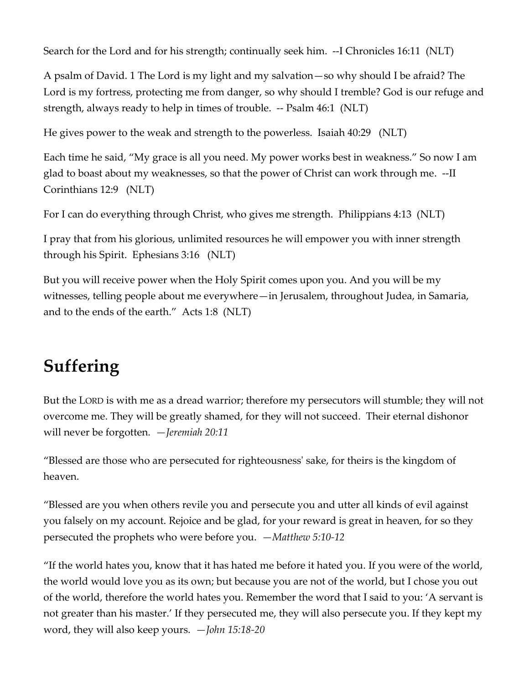Search for the Lord and for his strength; continually seek him. --I Chronicles 16:11 (NLT)

A psalm of David. 1 The Lord is my light and my salvation—so why should I be afraid? The Lord is my fortress, protecting me from danger, so why should I tremble? God is our refuge and strength, always ready to help in times of trouble. -- Psalm 46:1 (NLT)

He gives power to the weak and strength to the powerless. Isaiah 40:29 (NLT)

Each time he said, "My grace is all you need. My power works best in weakness." So now I am glad to boast about my weaknesses, so that the power of Christ can work through me. --II Corinthians 12:9 (NLT)

For I can do everything through Christ, who gives me strength. Philippians 4:13 (NLT)

I pray that from his glorious, unlimited resources he will empower you with inner strength through his Spirit. Ephesians 3:16 (NLT)

But you will receive power when the Holy Spirit comes upon you. And you will be my witnesses, telling people about me everywhere—in Jerusalem, throughout Judea, in Samaria, and to the ends of the earth." Acts 1:8 (NLT)

# **Suffering**

But the LORD is with me as a dread warrior; therefore my persecutors will stumble; they will not overcome me. They will be greatly shamed, for they will not succeed. Their eternal dishonor will never be forgotten. *—Jeremiah 20:11*

"Blessed are those who are persecuted for righteousness' sake, for theirs is the kingdom of heaven.

"Blessed are you when others revile you and persecute you and utter all kinds of evil against you falsely on my account. Rejoice and be glad, for your reward is great in heaven, for so they persecuted the prophets who were before you. *—Matthew 5:10-12*

"If the world hates you, know that it has hated me before it hated you. If you were of the world, the world would love you as its own; but because you are not of the world, but I chose you out of the world, therefore the world hates you. Remember the word that I said to you: 'A servant is not greater than his master.' If they persecuted me, they will also persecute you. If they kept my word, they will also keep yours. *—John 15:18-20*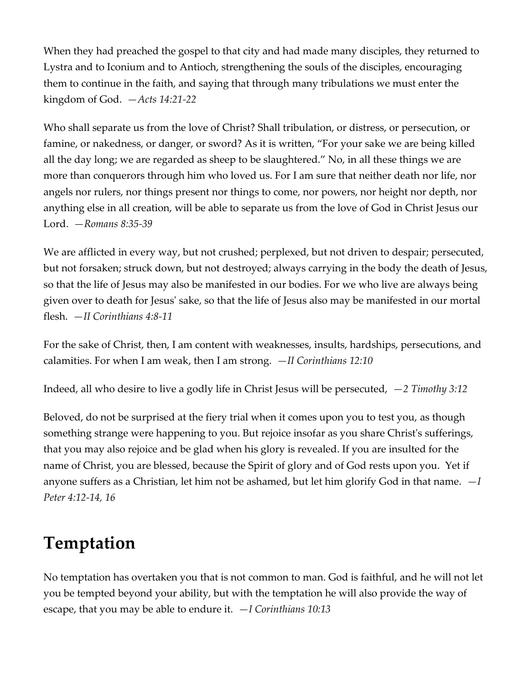When they had preached the gospel to that city and had made many disciples, they returned to Lystra and to Iconium and to Antioch, strengthening the souls of the disciples, encouraging them to continue in the faith, and saying that through many tribulations we must enter the kingdom of God. *—Acts 14:21-22*

Who shall separate us from the love of Christ? Shall tribulation, or distress, or persecution, or famine, or nakedness, or danger, or sword? As it is written, "For your sake we are being killed all the day long; we are regarded as sheep to be slaughtered." No, in all these things we are more than conquerors through him who loved us. For I am sure that neither death nor life, nor angels nor rulers, nor things present nor things to come, nor powers, nor height nor depth, nor anything else in all creation, will be able to separate us from the love of God in Christ Jesus our Lord. *—Romans 8:35-39*

We are afflicted in every way, but not crushed; perplexed, but not driven to despair; persecuted, but not forsaken; struck down, but not destroyed; always carrying in the body the death of Jesus, so that the life of Jesus may also be manifested in our bodies. For we who live are always being given over to death for Jesus' sake, so that the life of Jesus also may be manifested in our mortal flesh. *—II Corinthians 4:8-11*

For the sake of Christ, then, I am content with weaknesses, insults, hardships, persecutions, and calamities. For when I am weak, then I am strong. *—II Corinthians 12:10*

Indeed, all who desire to live a godly life in Christ Jesus will be persecuted, *—2 Timothy 3:12*

Beloved, do not be surprised at the fiery trial when it comes upon you to test you, as though something strange were happening to you. But rejoice insofar as you share Christ's sufferings, that you may also rejoice and be glad when his glory is revealed. If you are insulted for the name of Christ, you are blessed, because the Spirit of glory and of God rests upon you. Yet if anyone suffers as a Christian, let him not be ashamed, but let him glorify God in that name. *—I Peter 4:12-14, 16*

## **Temptation**

No temptation has overtaken you that is not common to man. God is faithful, and he will not let you be tempted beyond your ability, but with the temptation he will also provide the way of escape, that you may be able to endure it. *—I Corinthians 10:13*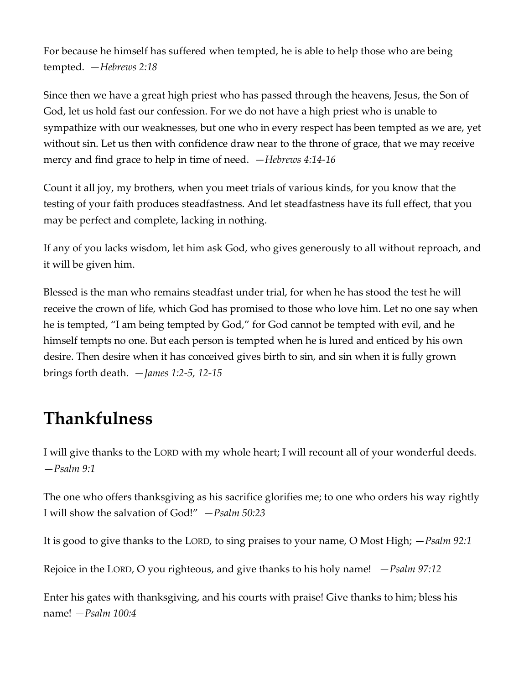For because he himself has suffered when tempted, he is able to help those who are being tempted. *—Hebrews 2:18*

Since then we have a great high priest who has passed through the heavens, Jesus, the Son of God, let us hold fast our confession. For we do not have a high priest who is unable to sympathize with our weaknesses, but one who in every respect has been tempted as we are, yet without sin. Let us then with confidence draw near to the throne of grace, that we may receive mercy and find grace to help in time of need. *—Hebrews 4:14-16*

Count it all joy, my brothers, when you meet trials of various kinds, for you know that the testing of your faith produces steadfastness. And let steadfastness have its full effect, that you may be perfect and complete, lacking in nothing.

If any of you lacks wisdom, let him ask God, who gives generously to all without reproach, and it will be given him.

Blessed is the man who remains steadfast under trial, for when he has stood the test he will receive the crown of life, which God has promised to those who love him. Let no one say when he is tempted, "I am being tempted by God," for God cannot be tempted with evil, and he himself tempts no one. But each person is tempted when he is lured and enticed by his own desire. Then desire when it has conceived gives birth to sin, and sin when it is fully grown brings forth death. *—James 1:2-5, 12-15*

# **Thankfulness**

I will give thanks to the LORD with my whole heart; I will recount all of your wonderful deeds. *—Psalm 9:1*

The one who offers thanksgiving as his sacrifice glorifies me; to one who orders his way rightly I will show the salvation of God!" *—Psalm 50:23*

It is good to give thanks to the LORD, to sing praises to your name, O Most High; *—Psalm 92:1*

Rejoice in the LORD, O you righteous, and give thanks to his holy name! *—Psalm 97:12*

Enter his gates with thanksgiving, and his courts with praise! Give thanks to him; bless his name! *—Psalm 100:4*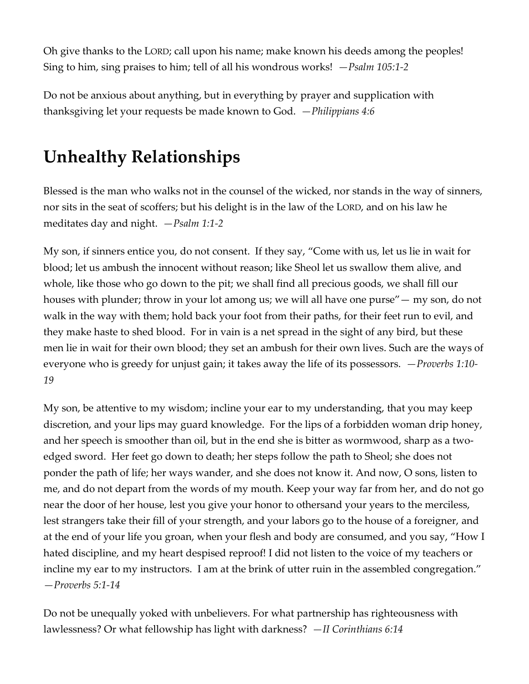Oh give thanks to the LORD; call upon his name; make known his deeds among the peoples! Sing to him, sing praises to him; tell of all his wondrous works! *—Psalm 105:1-2*

Do not be anxious about anything, but in everything by prayer and supplication with thanksgiving let your requests be made known to God. *—Philippians 4:6* 

# **Unhealthy Relationships**

Blessed is the man who walks not in the counsel of the wicked, nor stands in the way of sinners, nor sits in the seat of scoffers; but his delight is in the law of the LORD, and on his law he meditates day and night. *—Psalm 1:1-2*

My son, if sinners entice you, do not consent. If they say, "Come with us, let us lie in wait for blood; let us ambush the innocent without reason; like Sheol let us swallow them alive, and whole, like those who go down to the pit; we shall find all precious goods, we shall fill our houses with plunder; throw in your lot among us; we will all have one purse"— my son, do not walk in the way with them; hold back your foot from their paths, for their feet run to evil, and they make haste to shed blood. For in vain is a net spread in the sight of any bird, but these men lie in wait for their own blood; they set an ambush for their own lives. Such are the ways of everyone who is greedy for unjust gain; it takes away the life of its possessors. *—Proverbs 1:10- 19*

My son, be attentive to my wisdom; incline your ear to my understanding, that you may keep discretion, and your lips may guard knowledge. For the lips of a forbidden woman drip honey, and her speech is smoother than oil, but in the end she is bitter as wormwood, sharp as a twoedged sword. Her feet go down to death; her steps follow the path to Sheol; she does not ponder the path of life; her ways wander, and she does not know it. And now, O sons, listen to me, and do not depart from the words of my mouth. Keep your way far from her, and do not go near the door of her house, lest you give your honor to othersand your years to the merciless, lest strangers take their fill of your strength, and your labors go to the house of a foreigner, and at the end of your life you groan, when your flesh and body are consumed, and you say, "How I hated discipline, and my heart despised reproof! I did not listen to the voice of my teachers or incline my ear to my instructors. I am at the brink of utter ruin in the assembled congregation." *—Proverbs 5:1-14*

Do not be unequally yoked with unbelievers. For what partnership has righteousness with lawlessness? Or what fellowship has light with darkness? *—II Corinthians 6:14*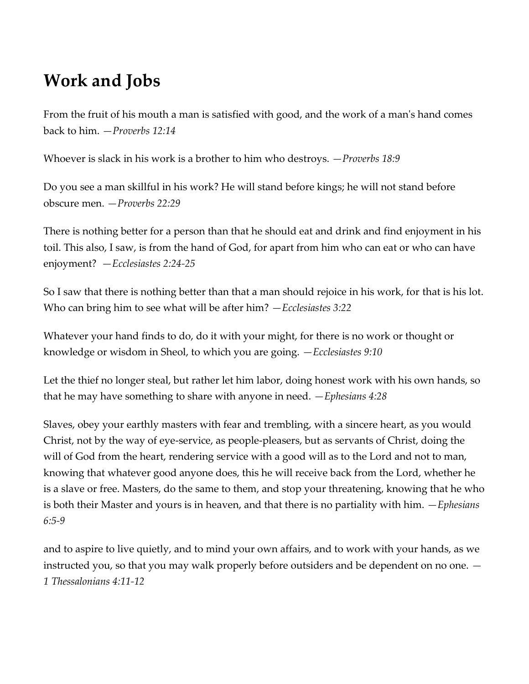## **Work and Jobs**

From the fruit of his mouth a man is satisfied with good, and the work of a man's hand comes back to him. *—Proverbs 12:14*

Whoever is slack in his work is a brother to him who destroys. *—Proverbs 18:9*

Do you see a man skillful in his work? He will stand before kings; he will not stand before obscure men. *—Proverbs 22:29*

There is nothing better for a person than that he should eat and drink and find enjoyment in his toil. This also, I saw, is from the hand of God, for apart from him who can eat or who can have enjoyment? *—Ecclesiastes 2:24-25*

So I saw that there is nothing better than that a man should rejoice in his work, for that is his lot. Who can bring him to see what will be after him? *—Ecclesiastes 3:22*

Whatever your hand finds to do, do it with your might, for there is no work or thought or knowledge or wisdom in Sheol, to which you are going. *—Ecclesiastes 9:10*

Let the thief no longer steal, but rather let him labor, doing honest work with his own hands, so that he may have something to share with anyone in need. *—Ephesians 4:28*

Slaves, obey your earthly masters with fear and trembling, with a sincere heart, as you would Christ, not by the way of eye-service, as people-pleasers, but as servants of Christ, doing the will of God from the heart, rendering service with a good will as to the Lord and not to man, knowing that whatever good anyone does, this he will receive back from the Lord, whether he is a slave or free. Masters, do the same to them, and stop your threatening, knowing that he who is both their Master and yours is in heaven, and that there is no partiality with him. *—Ephesians 6:5-9*

and to aspire to live quietly, and to mind your own affairs, and to work with your hands, as we instructed you, so that you may walk properly before outsiders and be dependent on no one. *— 1 Thessalonians 4:11-12*